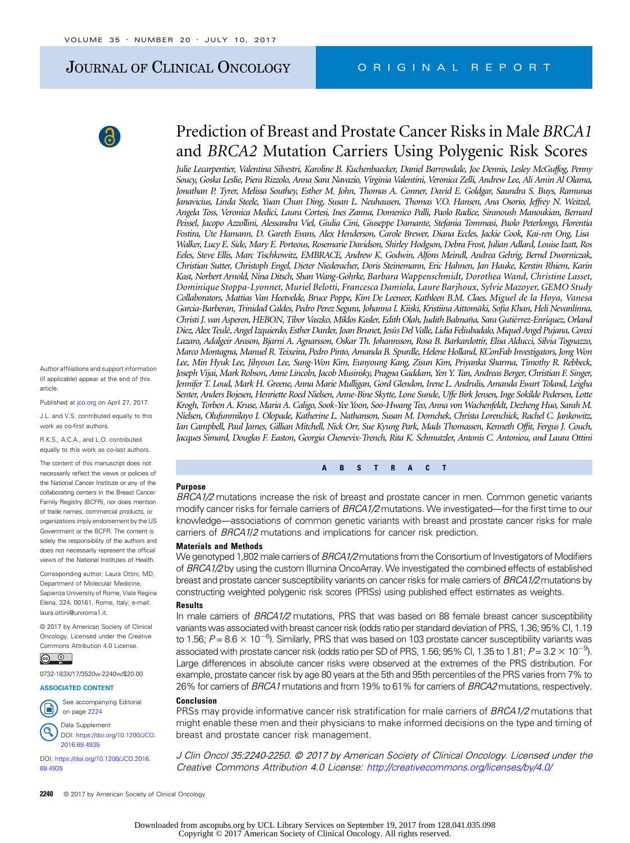# JOURNAL OF CLINICAL ONCOLOGY CRIGINAL REPORT



Author affiliations and support information (if applicable) appear at the end of this article.

Published at [jco.org](http://jco.org) on April 27, 2017.

J.L. and V.S. contributed equally to this work as co-first authors.

R.K.S., A.C.A., and L.O. contributed equally to this work as co-last authors.

The content of this manuscript does not necessarily reflect the views or policies of the National Cancer Institute or any of the collaborating centers in the Breast Cancer Family Registry (BCFR), nor does mention of trade names, commercial products, or organizations imply endorsement by the US Government or the BCFR. The content is solely the responsibility of the authors and does not necessarily represent the official views of the National Institutes of Health.

Corresponding author: Laura Ottini, MD, Department of Molecular Medicine, Sapienza University of Rome, Viale Regina Elena, 324, 00161, Rome, Italy; e-mail: [laura.ottini@uniroma1.it](mailto:laura.ottini@uniroma1.it).

© 2017 by American Society of Clinical Oncology. Licensed under the Creative Commons Attribution 4.0 License.

 $\circledcirc$ 

0732-183X/17/3520w-2240w/\$20.00

#### ASSOCIATED CONTENT



Data Supplement DOI: [https://doi.org/10.1200/JCO.](http://ascopubs.org/doi/full/10.1200/JCO.2016.69.4935)

[2016.69.4935](http://ascopubs.org/doi/full/10.1200/JCO.2016.69.4935) DOI: [https://doi.org/10.1200/JCO.2016.](http://ascopubs.org/doi/full/10.1200/JCO.2016.69.4935) [69.4935](http://ascopubs.org/doi/full/10.1200/JCO.2016.69.4935)

# Prediction of Breast and Prostate Cancer Risks in Male BRCA1 and BRCA2 Mutation Carriers Using Polygenic Risk Scores

Julie Lecarpentier, Valentina Silvestri, Karoline B. Kuchenbaecker, Daniel Barrowdale, Joe Dennis, Lesley McGuffog, Penny Soucy, Goska Leslie, Piera Rizzolo, Anna Sara Navazio, Virginia Valentini, Veronica Zelli, Andrew Lee, Ali Amin Al Olama, Jonathan P. Tyrer, Melissa Southey, Esther M. John, Thomas A. Conner, David E. Goldgar, Saundra S. Buys, Ramunas Janavicius, Linda Steele, Yuan Chun Ding, Susan L. Neuhausen, Thomas V.O. Hansen, Ana Osorio, Jeffrey N. Weitzel, Angela Toss, Veronica Medici, Laura Cortesi, Ines Zanna, Domenico Palli, Paolo Radice, Siranoush Manoukian, Bernard Peissel, Jacopo Azzollini, Alessandra Viel, Giulia Cini, Giuseppe Damante, Stefania Tommasi, Paolo Peterlongo, Florentia Fostira, Ute Hamann, D. Gareth Evans, Alex Henderson, Carole Brewer, Diana Eccles, Jackie Cook, Kai-ren Ong, Lisa Walker, Lucy E. Side, Mary E. Porteous, Rosemarie Davidson, Shirley Hodgson, Debra Frost, Julian Adlard, Louise Izatt, Ros Eeles, Steve Ellis, Marc Tischkowitz, EMBRACE, Andrew K. Godwin, Alfons Meindl, Andrea Gehrig, Bernd Dworniczak, Christian Sutter, Christoph Engel, Dieter Niederacher, Doris Steinemann, Eric Hahnen, Jan Hauke, Kerstin Rhiem, Karin Kast, Norbert Arnold, Nina Ditsch, Shan Wang-Gohrke, Barbara Wappenschmidt, Dorothea Wand, Christine Lasset, Dominique Stoppa-Lyonnet, Muriel Belotti, Francesca Damiola, Laure Barjhoux, Sylvie Mazoyer, GEMO Study Collaborators, Mattias Van Heetvelde, Bruce Poppe, Kim De Leeneer, Kathleen B.M. Claes, Miguel de la Hoya, Vanesa Garcia-Barberan, Trinidad Caldes, Pedro Perez Segura, Johanna I. Kiiski, Kristiina Aittomäki, Sofia Khan, Heli Nevanlinna, Christi J. van Asperen, HEBON, Tibor Vaszko, Miklos Kasler, Edith Olah, Judith Balmaña, Sara Gutiérrez-Enríquez, Orland Diez, Alex Teulé, Angel Izquierdo, Esther Darder, Joan Brunet, Jesús Del Valle, Lidia Feliubadalo, Miquel Angel Pujana, Conxi Lazaro, Adalgeir Arason, Bjarni A. Agnarsson, Oskar Th. Johannsson, Rosa B. Barkardottir, Elisa Alducci, Silvia Tognazzo, Marco Montagna, Manuel R. Teixeira, Pedro Pinto, Amanda B. Spurdle, Helene Holland, KConFab Investigators, Jong Won Lee, Min Hyuk Lee, Jihyoun Lee, Sung-Won Kim, Eunyoung Kang, Zisun Kim, Priyanka Sharma, Timothy R. Rebbeck, Joseph Vijai, Mark Robson, Anne Lincoln, Jacob Musinsky, Pragna Gaddam, Yen Y. Tan, Andreas Berger, Christian F. Singer, Jennifer T. Loud, Mark H. Greene, Anna Marie Mulligan, Gord Glendon, Irene L. Andrulis, Amanda Ewart Toland, Leigha Senter, Anders Bojesen, Henriette Roed Nielsen, Anne-Bine Skytte, Lone Sunde, Uffe Birk Jensen, Inge Sokilde Pedersen, Lotte Krogh, Torben A. Kruse, Maria A. Caligo, Sook-Yee Yoon, Soo-Hwang Teo, Anna von Wachenfeldt, Dezheng Huo, Sarah M. Nielsen, Olufunmilayo I. Olopade, Katherine L. Nathanson, Susan M. Domchek, Christa Lorenchick, Rachel C. Jankowitz, Ian Campbell, Paul James, Gillian Mitchell, Nick Orr, Sue Kyung Park, Mads Thomassen, Kenneth Offit, Fergus J. Couch, Jacques Simard, Douglas F. Easton, Georgia Chenevix-Trench, Rita K. Schmutzler, Antonis C. Antoniou, and Laura Ottini

#### ABSTRACT

#### Purpose

BRCA1/2 mutations increase the risk of breast and prostate cancer in men. Common genetic variants modify cancer risks for female carriers of BRCA1/2 mutations. We investigated—for the first time to our knowledge—associations of common genetic variants with breast and prostate cancer risks for male carriers of *BRCA1/2* mutations and implications for cancer risk prediction.

#### Materials and Methods

We genotyped 1,802 male carriers of BRCA1/2 mutations from the Consortium of Investigators of Modifiers of BRCA1/2 by using the custom Illumina OncoArray. We investigated the combined effects of established breast and prostate cancer susceptibility variants on cancer risks for male carriers of BRCA1/2 mutations by constructing weighted polygenic risk scores (PRSs) using published effect estimates as weights.

#### Results

In male carriers of BRCA1/2 mutations, PRS that was based on 88 female breast cancer susceptibility variants was associated with breast cancer risk (odds ratio per standard deviation of PRS, 1.36; 95% CI, 1.19 to 1.56;  $P$  = 8.6  $\times$  10<sup>-6</sup>). Similarly, PRS that was based on 103 prostate cancer susceptibility variants was associated with prostate cancer risk (odds ratio per SD of PRS, 1.56; 95% CI, 1.35 to 1.81;  $P$ =3.2  $\times$  10 $^{-9}$ ). Large differences in absolute cancer risks were observed at the extremes of the PRS distribution. For example, prostate cancer risk by age 80 years at the 5th and 95th percentiles of the PRS varies from 7% to 26% for carriers of BRCA1 mutations and from 19% to 61% for carriers of BRCA2 mutations, respectively.

#### Conclusion

PRSs may provide informative cancer risk stratification for male carriers of *BRCA1/2* mutations that might enable these men and their physicians to make informed decisions on the type and timing of breast and prostate cancer risk management.

J Clin Oncol 35:2240-2250. © 2017 by American Society of Clinical Oncology. Licensed under the Creative Commons Attribution 4.0 License: <http://creativecommons.org/licenses/by/4.0/>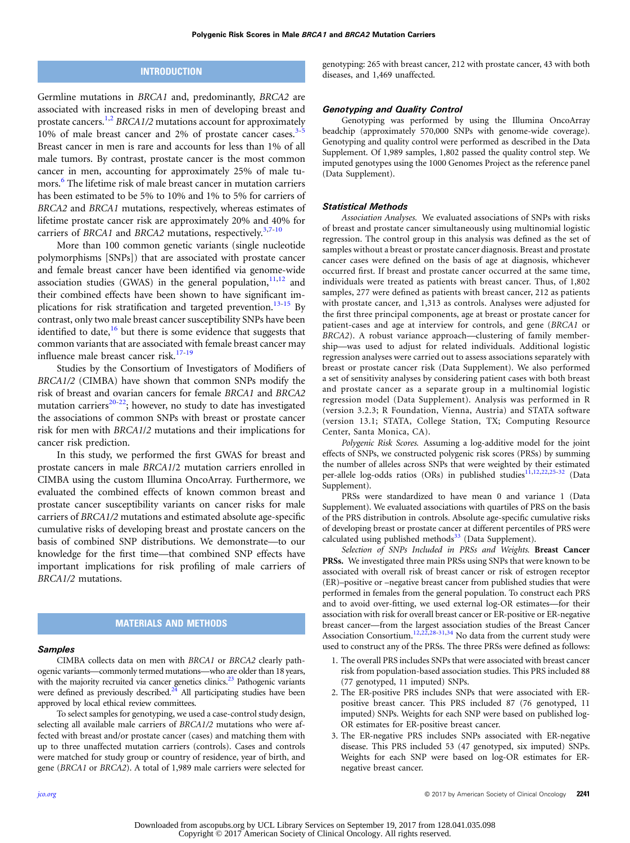## **INTRODUCTION**

Germline mutations in BRCA1 and, predominantly, BRCA2 are associated with increased risks in men of developing breast and prostate cancers.<sup>1,2</sup> BRCA1/2 mutations account for approximately 10% of male breast cancer and 2% of prostate cancer cases. $3-5$ Breast cancer in men is rare and accounts for less than 1% of all male tumors. By contrast, prostate cancer is the most common cancer in men, accounting for approximately 25% of male tu-mors.<sup>[6](#page-6-0)</sup> The lifetime risk of male breast cancer in mutation carriers has been estimated to be 5% to 10% and 1% to 5% for carriers of BRCA2 and BRCA1 mutations, respectively, whereas estimates of lifetime prostate cancer risk are approximately 20% and 40% for carriers of BRCA1 and BRCA2 mutations, respectively.<sup>[3,7](#page-6-0)[-10](#page-7-0)</sup>

More than 100 common genetic variants (single nucleotide polymorphisms [SNPs]) that are associated with prostate cancer and female breast cancer have been identified via genome-wide association studies (GWAS) in the general population,  $11,12$  and their combined effects have been shown to have significant im-plications for risk stratification and targeted prevention.<sup>[13-15](#page-7-0)</sup> By contrast, only two male breast cancer susceptibility SNPs have been identified to date,  $16$  but there is some evidence that suggests that common variants that are associated with female breast cancer may influence male breast cancer risk.<sup>17-[19](#page-7-0)</sup>

Studies by the Consortium of Investigators of Modifiers of BRCA1/2 (CIMBA) have shown that common SNPs modify the risk of breast and ovarian cancers for female BRCA1 and BRCA2 mutation carriers $20-22$ ; however, no study to date has investigated the associations of common SNPs with breast or prostate cancer risk for men with BRCA1/2 mutations and their implications for cancer risk prediction.

In this study, we performed the first GWAS for breast and prostate cancers in male BRCA1/2 mutation carriers enrolled in CIMBA using the custom Illumina OncoArray. Furthermore, we evaluated the combined effects of known common breast and prostate cancer susceptibility variants on cancer risks for male carriers of BRCA1/2 mutations and estimated absolute age-specific cumulative risks of developing breast and prostate cancers on the basis of combined SNP distributions. We demonstrate—to our knowledge for the first time—that combined SNP effects have important implications for risk profiling of male carriers of BRCA1/2 mutations.

### MATERIALS AND METHODS

### **Samples**

CIMBA collects data on men with BRCA1 or BRCA2 clearly pathogenic variants—commonly termed mutations—who are older than 18 years, with the majority recruited via cancer genetics clinics.<sup>[23](#page-7-0)</sup> Pathogenic variants were defined as previously described. $2\overline{4}$  All participating studies have been approved by local ethical review committees.

To select samples for genotyping, we used a case-control study design, selecting all available male carriers of BRCA1/2 mutations who were affected with breast and/or prostate cancer (cases) and matching them with up to three unaffected mutation carriers (controls). Cases and controls were matched for study group or country of residence, year of birth, and gene (BRCA1 or BRCA2). A total of 1,989 male carriers were selected for

genotyping: 265 with breast cancer, 212 with prostate cancer, 43 with both diseases, and 1,469 unaffected.

### Genotyping and Quality Control

Genotyping was performed by using the Illumina OncoArray beadchip (approximately 570,000 SNPs with genome-wide coverage). Genotyping and quality control were performed as described in the Data Supplement. Of 1,989 samples, 1,802 passed the quality control step. We imputed genotypes using the 1000 Genomes Project as the reference panel (Data Supplement).

### Statistical Methods

Association Analyses. We evaluated associations of SNPs with risks of breast and prostate cancer simultaneously using multinomial logistic regression. The control group in this analysis was defined as the set of samples without a breast or prostate cancer diagnosis. Breast and prostate cancer cases were defined on the basis of age at diagnosis, whichever occurred first. If breast and prostate cancer occurred at the same time, individuals were treated as patients with breast cancer. Thus, of 1,802 samples, 277 were defined as patients with breast cancer, 212 as patients with prostate cancer, and 1,313 as controls. Analyses were adjusted for the first three principal components, age at breast or prostate cancer for patient-cases and age at interview for controls, and gene (BRCA1 or BRCA2). A robust variance approach—clustering of family membership—was used to adjust for related individuals. Additional logistic regression analyses were carried out to assess associations separately with breast or prostate cancer risk (Data Supplement). We also performed a set of sensitivity analyses by considering patient cases with both breast and prostate cancer as a separate group in a multinomial logistic regression model (Data Supplement). Analysis was performed in R (version 3.2.3; R Foundation, Vienna, Austria) and STATA software (version 13.1; STATA, College Station, TX; Computing Resource Center, Santa Monica, CA).

Polygenic Risk Scores. Assuming a log-additive model for the joint effects of SNPs, we constructed polygenic risk scores (PRSs) by summing the number of alleles across SNPs that were weighted by their estimated per-allele log-odds ratios (ORs) in published studies<sup>[11,12](#page-7-0),[22,25](#page-7-0)-[32](#page-7-0)</sup> (Data Supplement).

PRSs were standardized to have mean 0 and variance 1 (Data Supplement). We evaluated associations with quartiles of PRS on the basis of the PRS distribution in controls. Absolute age-specific cumulative risks of developing breast or prostate cancer at different percentiles of PRS were calculated using published methods $33$  (Data Supplement).

Selection of SNPs Included in PRSs and Weights. Breast Cancer PRSs. We investigated three main PRSs using SNPs that were known to be associated with overall risk of breast cancer or risk of estrogen receptor (ER)–positive or –negative breast cancer from published studies that were performed in females from the general population. To construct each PRS and to avoid over-fitting, we used external log-OR estimates—for their association with risk for overall breast cancer or ER-positive or ER-negative breast cancer—from the largest association studies of the Breast Cancer Association Consortium.<sup>[12,22](#page-7-0),[28-31](#page-7-0),[34](#page-7-0)</sup> No data from the current study were used to construct any of the PRSs. The three PRSs were defined as follows:

- 1. The overall PRS includes SNPs that were associated with breast cancer risk from population-based association studies. This PRS included 88 (77 genotyped, 11 imputed) SNPs.
- 2. The ER-positive PRS includes SNPs that were associated with ERpositive breast cancer. This PRS included 87 (76 genotyped, 11 imputed) SNPs. Weights for each SNP were based on published log-OR estimates for ER-positive breast cancer.
- 3. The ER-negative PRS includes SNPs associated with ER-negative disease. This PRS included 53 (47 genotyped, six imputed) SNPs. Weights for each SNP were based on log-OR estimates for ERnegative breast cancer.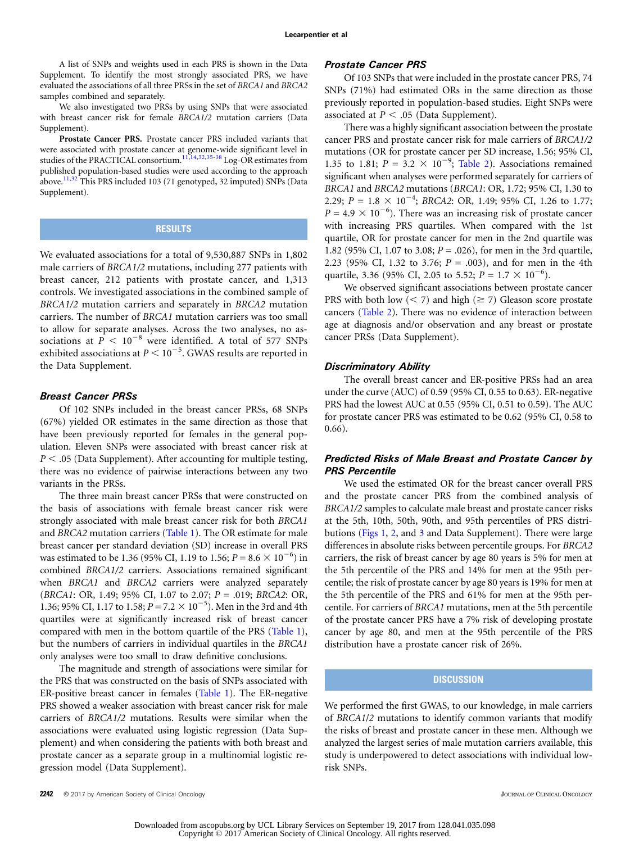A list of SNPs and weights used in each PRS is shown in the Data Supplement. To identify the most strongly associated PRS, we have evaluated the associations of all three PRSs in the set of BRCA1 and BRCA2 samples combined and separately.

We also investigated two PRSs by using SNPs that were associated with breast cancer risk for female BRCA1/2 mutation carriers (Data Supplement).

Prostate Cancer PRS. Prostate cancer PRS included variants that were associated with prostate cancer at genome-wide significant level in studies of the PRACTICAL consortium.<sup>[11](#page-7-0),[14,32](#page-7-0),[35-38](#page-7-0)</sup> Log-OR estimates from published population-based studies were used according to the approach above.<sup>[11,32](#page-7-0)</sup> This PRS included 103 (71 genotyped, 32 imputed) SNPs (Data Supplement).

## **RESULTS**

We evaluated associations for a total of 9,530,887 SNPs in 1,802 male carriers of BRCA1/2 mutations, including 277 patients with breast cancer, 212 patients with prostate cancer, and 1,313 controls. We investigated associations in the combined sample of BRCA1/2 mutation carriers and separately in BRCA2 mutation carriers. The number of BRCA1 mutation carriers was too small to allow for separate analyses. Across the two analyses, no associations at  $P < 10^{-8}$  were identified. A total of 577 SNPs exhibited associations at  $P \leq 10^{-5}$ . GWAS results are reported in the Data Supplement.

### Breast Cancer PRSs

Of 102 SNPs included in the breast cancer PRSs, 68 SNPs (67%) yielded OR estimates in the same direction as those that have been previously reported for females in the general population. Eleven SNPs were associated with breast cancer risk at  $P < .05$  (Data Supplement). After accounting for multiple testing, there was no evidence of pairwise interactions between any two variants in the PRSs.

The three main breast cancer PRSs that were constructed on the basis of associations with female breast cancer risk were strongly associated with male breast cancer risk for both BRCA1 and BRCA2 mutation carriers [\(Table 1](#page-3-0)). The OR estimate for male breast cancer per standard deviation (SD) increase in overall PRS was estimated to be 1.36 (95% CI, 1.19 to 1.56;  $P = 8.6 \times 10^{-6}$ ) in combined BRCA1/2 carriers. Associations remained significant when BRCA1 and BRCA2 carriers were analyzed separately (BRCA1: OR, 1.49; 95% CI, 1.07 to 2.07;  $P = .019$ ; BRCA2: OR, 1.36; 95% CI, 1.17 to 1.58;  $P = 7.2 \times 10^{-5}$ ). Men in the 3rd and 4th quartiles were at significantly increased risk of breast cancer compared with men in the bottom quartile of the PRS [\(Table 1\)](#page-3-0), but the numbers of carriers in individual quartiles in the BRCA1 only analyses were too small to draw definitive conclusions.

The magnitude and strength of associations were similar for the PRS that was constructed on the basis of SNPs associated with ER-positive breast cancer in females ([Table 1\)](#page-3-0). The ER-negative PRS showed a weaker association with breast cancer risk for male carriers of BRCA1/2 mutations. Results were similar when the associations were evaluated using logistic regression (Data Supplement) and when considering the patients with both breast and prostate cancer as a separate group in a multinomial logistic regression model (Data Supplement).

### Prostate Cancer PRS

Of 103 SNPs that were included in the prostate cancer PRS, 74 SNPs (71%) had estimated ORs in the same direction as those previously reported in population-based studies. Eight SNPs were associated at  $P < .05$  (Data Supplement).

There was a highly significant association between the prostate cancer PRS and prostate cancer risk for male carriers of BRCA1/2 mutations (OR for prostate cancer per SD increase, 1.56; 95% CI, 1.35 to 1.81;  $P = 3.2 \times 10^{-9}$ ; [Table 2](#page-4-0)). Associations remained significant when analyses were performed separately for carriers of BRCA1 and BRCA2 mutations (BRCA1: OR, 1.72; 95% CI, 1.30 to 2.29;  $P = 1.8 \times 10^{-4}$ ; BRCA2: OR, 1.49; 95% CI, 1.26 to 1.77;  $P = 4.9 \times 10^{-6}$ ). There was an increasing risk of prostate cancer with increasing PRS quartiles. When compared with the 1st quartile, OR for prostate cancer for men in the 2nd quartile was 1.82 (95% CI, 1.07 to 3.08;  $P = .026$ ), for men in the 3rd quartile, 2.23 (95% CI, 1.32 to 3.76;  $P = .003$ ), and for men in the 4th quartile, 3.36 (95% CI, 2.05 to 5.52;  $P = 1.7 \times 10^{-6}$ ).

We observed significant associations between prostate cancer PRS with both low  $(< 7)$  and high ( $\geq 7$ ) Gleason score prostate cancers ([Table 2\)](#page-4-0). There was no evidence of interaction between age at diagnosis and/or observation and any breast or prostate cancer PRSs (Data Supplement).

### Discriminatory Ability

The overall breast cancer and ER-positive PRSs had an area under the curve (AUC) of 0.59 (95% CI, 0.55 to 0.63). ER-negative PRS had the lowest AUC at 0.55 (95% CI, 0.51 to 0.59). The AUC for prostate cancer PRS was estimated to be 0.62 (95% CI, 0.58 to 0.66).

## Predicted Risks of Male Breast and Prostate Cancer by PRS Percentile

We used the estimated OR for the breast cancer overall PRS and the prostate cancer PRS from the combined analysis of BRCA1/2 samples to calculate male breast and prostate cancer risks at the 5th, 10th, 50th, 90th, and 95th percentiles of PRS distributions [\(Figs 1](#page-5-0), [2,](#page-5-0) and [3](#page-5-0) and Data Supplement). There were large differences in absolute risks between percentile groups. For BRCA2 carriers, the risk of breast cancer by age 80 years is 5% for men at the 5th percentile of the PRS and 14% for men at the 95th percentile; the risk of prostate cancer by age 80 years is 19% for men at the 5th percentile of the PRS and 61% for men at the 95th percentile. For carriers of BRCA1 mutations, men at the 5th percentile of the prostate cancer PRS have a 7% risk of developing prostate cancer by age 80, and men at the 95th percentile of the PRS distribution have a prostate cancer risk of 26%.

### **DISCUSSION**

We performed the first GWAS, to our knowledge, in male carriers of BRCA1/2 mutations to identify common variants that modify the risks of breast and prostate cancer in these men. Although we analyzed the largest series of male mutation carriers available, this study is underpowered to detect associations with individual lowrisk SNPs.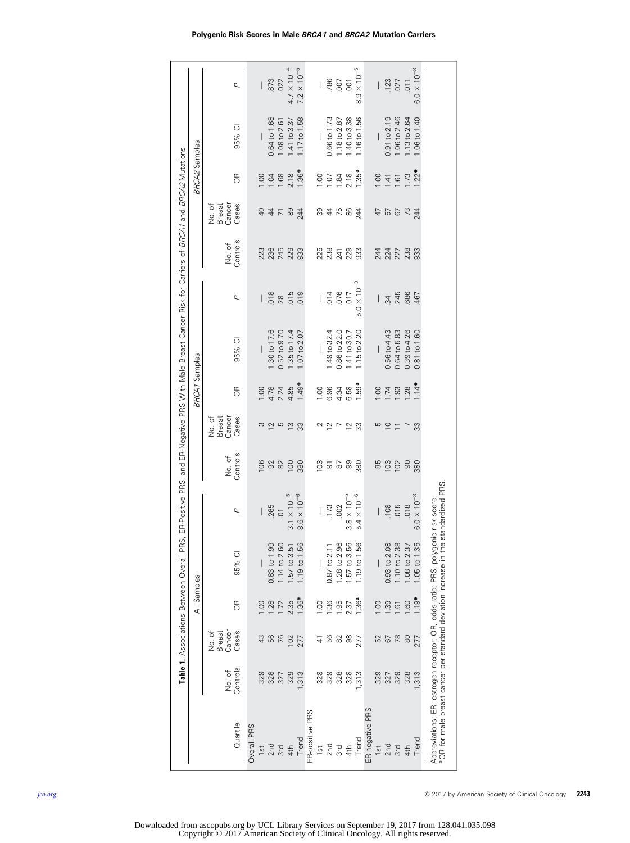<span id="page-3-0"></span>

| Cancer<br>Breast<br>Cases<br>No. of<br>56<br>76<br>Controls<br>No. of<br>328<br>329<br>Quartile<br>Overall PRS<br>2n <sub>d</sub><br>$1s$ t | E<br>1.28<br>$\frac{8}{1}$ |                  |                       |                             |                                     |                | <b>BRCA1</b> Samples     |                      |                      |                                     | <b>BRCA2 Samples</b> |                          |                      |
|---------------------------------------------------------------------------------------------------------------------------------------------|----------------------------|------------------|-----------------------|-----------------------------|-------------------------------------|----------------|--------------------------|----------------------|----------------------|-------------------------------------|----------------------|--------------------------|----------------------|
|                                                                                                                                             |                            | 95% CI           | ρ                     | No. of<br>Controls          | Breast<br>Cancer<br>No. of<br>Cases | $\frac{R}{C}$  | 95% CI                   | ρ                    | No. of<br>Controls   | Breast<br>Cancer<br>No. of<br>Cases | E                    | 95% CI                   | ρ                    |
|                                                                                                                                             |                            |                  |                       | 80                          |                                     | $\frac{0}{1}$  |                          |                      | 223                  | 9                                   | OO.                  |                          |                      |
|                                                                                                                                             |                            | $0.83$ to $1.99$ | .265                  |                             |                                     | 4.78           | .30 to 17.6              | 018                  |                      |                                     |                      | 0.64 to 1.68             | 873                  |
| 327<br>3rd                                                                                                                                  | 1.72                       | $.14$ to $2.60$  | $\overline{O}$        | 32                          |                                     | 2.24           | $0.52$ to $9.70$         | .28                  | 236<br>245<br>229    | $4 \leq 8$                          | $\frac{1.04}{68}$    | 1.08 to 2.61             | .022                 |
| 102<br>329<br>4th                                                                                                                           | 2.35                       | $-57$ to $3.51$  | $3.1 \times 10^{-5}$  | $\infty$                    |                                     | 4.85           | .35 to 17.4              | 015                  |                      |                                     | 2.18                 | 1.41 to 3.37             | $4.7 \times 10^{-4}$ |
| 277<br>313<br>Trend                                                                                                                         | 1.36*                      | 1.19 to 1.56     | $8.6\times10^{-6}$    | 380                         | ္ကာ                                 | 1.49*          | $.07$ to $2.07$          | 019                  | 933                  | 244                                 | 1.36*                | $1.17 \text{ to } 1.58$  | $7.2 \times 10^{-5}$ |
| ER-positive PRS                                                                                                                             |                            |                  |                       |                             |                                     |                |                          |                      |                      |                                     |                      |                          |                      |
| $\pm$<br>328<br>15t                                                                                                                         | $\frac{8}{1}$              |                  |                       |                             |                                     | 00.1           |                          |                      |                      | ద్ద                                 | oo.                  |                          | I                    |
| 329<br>$2n$ d                                                                                                                               | 1.36                       | $0.87$ to $2.1$  | .173                  | 3558                        | 2p7p3                               | 6.96           | $1.49$ to 32.4           | .014                 | 25<br>28<br>24<br>22 |                                     | 1.07                 | 0.66 to 1.73             | .786                 |
| 56<br>82<br>328                                                                                                                             | 1.95                       | .28 to 2.96      | 002                   |                             |                                     | 4.34           | 0.86 to 22.0             | .076                 |                      | $4 k$ &                             | 1.84                 | 18 to 2.87               | 007                  |
| 88<br>328<br>4th                                                                                                                            | 2.37                       | .57 to 3.56      | $3.8 \times 10^{-5}$  |                             |                                     | 6.58           | .41 to 30.7              | 017                  |                      |                                     | 2.18                 | 1.40 to 3.38             | $\overline{5}$       |
| 277<br>313<br>Trend                                                                                                                         | $1.36*$                    | .19 to 1.56      | $4\times10^{-6}$<br>ம | 380                         |                                     | 1.59*          | 1.15 to 2.20             | $5.0 \times 10^{-3}$ | 933                  | 244                                 | 1.35*                | 1.16 to 1.56             | $8.9 \times 10^{-5}$ |
| ER-negative PRS                                                                                                                             |                            |                  |                       |                             |                                     |                |                          |                      |                      |                                     |                      |                          |                      |
| 52<br>329<br>$\frac{1}{3}$                                                                                                                  | 00.1                       |                  |                       | 85                          | 5                                   | 00.1           | $\overline{\phantom{a}}$ |                      |                      | 47                                  | 00.1                 | $\overline{\phantom{a}}$ |                      |
| 67<br>327<br>2nd                                                                                                                            | 1.39                       | 0.93 to 2.08     | .108                  | $\frac{8}{5}$ $\frac{8}{5}$ | $P =$                               |                | 0.56 to 4.43             | $\ddot{3}$           | 227<br>227<br>228    | <b>299</b>                          | 1.41                 | $0.91$ to $2.19$         | .123                 |
| 78<br>329<br>3rd                                                                                                                            | 1.61                       | $.10$ to $2.38$  | 015                   |                             |                                     | $788$<br>$-28$ | 0.64 to 5.83             | .245                 |                      |                                     | $\overline{6}$       | 1.06 to 2.46             | .027                 |
| 80<br>328<br>4th                                                                                                                            | 1.60                       | .08 to 2.37      | 018                   |                             | $\overline{r}$                      |                | 0.39 to 4.26             | .686                 |                      |                                     | I.73                 | 13 to 2.64               | $-011$               |
| 277<br>313<br>Trend                                                                                                                         | $1.19*$                    | 1.05 to 1.35     | $6.0 \times 10^{-3}$  | 380                         | <u>ွ</u>                            | $1.14*$        | 0.81 to 1.60             | 467                  | 933                  | 244                                 | $1.22*$              | 1.06 to 1.40             | $6.0 \times 10^{-3}$ |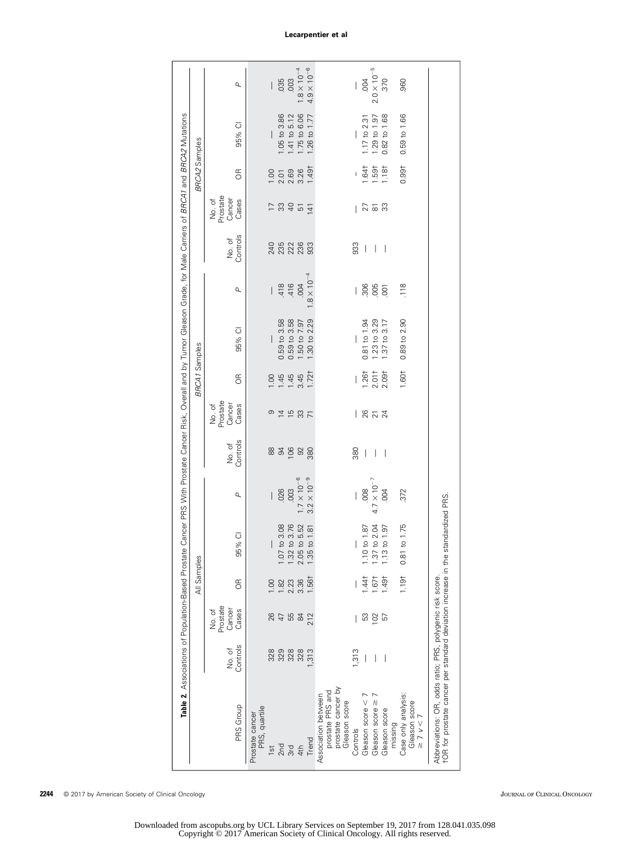<span id="page-4-0"></span>

|                                                                                                                                               | Table 2. Associations of Population-Based Prostate |                                       | All Samples |                                |                      |                          |                                       | <b>BRCA1</b> Samples | Cancer PRS With Prostate Cancer Risk, Overall and by Tumor Gleason Grade, for Male Carriers of BRCA1 and BRCA2 Mutations |                          |                          |                                       | <b>BRCA2</b> Samples |              |                      |
|-----------------------------------------------------------------------------------------------------------------------------------------------|----------------------------------------------------|---------------------------------------|-------------|--------------------------------|----------------------|--------------------------|---------------------------------------|----------------------|--------------------------------------------------------------------------------------------------------------------------|--------------------------|--------------------------|---------------------------------------|----------------------|--------------|----------------------|
|                                                                                                                                               |                                                    |                                       |             |                                |                      |                          |                                       |                      |                                                                                                                          |                          |                          |                                       |                      |              |                      |
| PRS Group                                                                                                                                     | Controls<br>No. of                                 | Prostate<br>Cancer<br>Cases<br>No. of | E           | 95% CI                         | ρ                    | Controls<br>No. of       | Prostate<br>Cancer<br>Cases<br>No. of | $\frac{1}{\sqrt{2}}$ | 95% CI                                                                                                                   | ρ                        | No. of<br>Controls       | No. of<br>Prostate<br>Cancer<br>Cases | $\frac{R}{C}$        | 95% CI       | ρ                    |
| PRS, quartile<br>Prostate cancer<br>$1s$ t                                                                                                    | 328                                                | 26                                    | 00.1        |                                |                      |                          |                                       | 1.00                 |                                                                                                                          |                          | 240                      |                                       | 00.1                 |              |                      |
| 2nd                                                                                                                                           | 329                                                | $\overline{4}$                        | 1.82        | 1.07 t                         | .026<br>L            |                          |                                       | 1.45                 | 0.59 to 3.58                                                                                                             |                          |                          |                                       |                      | 1.05 to 3.86 | .035                 |
| 3rd                                                                                                                                           | 328                                                | 55                                    | 2.23        | to 3.08<br>to 3.76             | .003                 | 83988                    | 94537                                 | 1.45                 | 0.59 to 3.58                                                                                                             | $\frac{418}{416}$        | 3383                     | 12845                                 | $2.01$<br>$2.69$     | 1.41 to 5.12 | .003                 |
| 4th                                                                                                                                           | 328                                                | $\frac{8}{4}$                         | 3.36        | $1.32$ to 3.76<br>2.05 to 5.52 | $7 \times 10^{-6}$   |                          |                                       | 3.45                 | 1.50 to 7.97                                                                                                             | 004                      |                          |                                       | 3.26                 | 1.75 to 6.06 | $1.8 \times 10^{-4}$ |
| Trend                                                                                                                                         | 313                                                | 212                                   | 1.561       | 1.35 to 1.81                   | $3.2 \times 10^{-9}$ |                          |                                       | 1.721                | 1.30 to 2.29                                                                                                             | $1.8 \times 10^{-4}$     |                          | 141                                   | 1.491                | 1.26 to 1.77 | $4.9 \times 10^{-6}$ |
| prostate cancer by<br>prostate PRS and<br>Association between<br>Gleason score                                                                |                                                    |                                       |             |                                |                      |                          |                                       |                      |                                                                                                                          |                          |                          |                                       |                      |              |                      |
| Controls                                                                                                                                      | 1,313                                              |                                       |             |                                | I                    | 380                      |                                       | I                    |                                                                                                                          | $\overline{\phantom{a}}$ | 933                      |                                       |                      |              | I                    |
| Gleason score <                                                                                                                               | $\overline{\phantom{a}}$                           | S3                                    | 1.441       |                                | 008                  | $\perp$                  | 1872                                  | 1.26 <sup>†</sup>    | $0.81$ to $1.94$                                                                                                         | 306                      | $\overline{\phantom{a}}$ | 25.3                                  | 1.641                | 17t02.31     | 004                  |
| Gleason score ≥                                                                                                                               |                                                    | 102                                   | 1.67        | 1.10 to 1.87<br>1.37 to 2.04   | $4.7 \times 10^{-7}$ |                          |                                       | 2.01 <sup>†</sup>    | 1.23 to 3.29                                                                                                             |                          | $\overline{\phantom{a}}$ |                                       | 1.591                | 1.29 to 1.97 | $2.0\times10^{-5}$   |
| Gleason score<br>missing                                                                                                                      |                                                    | 57                                    | 1.491       | 1.97<br>1.13 to                | 004                  | $\overline{\phantom{a}}$ |                                       | $2.09 +$             | 1.37 to 3.17                                                                                                             | 001                      | $\overline{\phantom{0}}$ |                                       | 1.181                | 0.82 to 1.68 | .370                 |
| Case only analysis:<br>Gleason score<br>$\geq$ 7 $\nu$ < 7                                                                                    |                                                    |                                       | 1.191       | 0.81 to 1.75                   | 372                  |                          |                                       | 1.601                | 0.89 to 2.90                                                                                                             | 118                      |                          |                                       | 0.991                | 0.59 to 1.66 | 960                  |
| †OR for prostate cancer per standard deviation increase in the standardized PRS.<br>Abbreviations: OR, odds ratio; PRS, polygenic risk score. |                                                    |                                       |             |                                |                      |                          |                                       |                      |                                                                                                                          |                          |                          |                                       |                      |              |                      |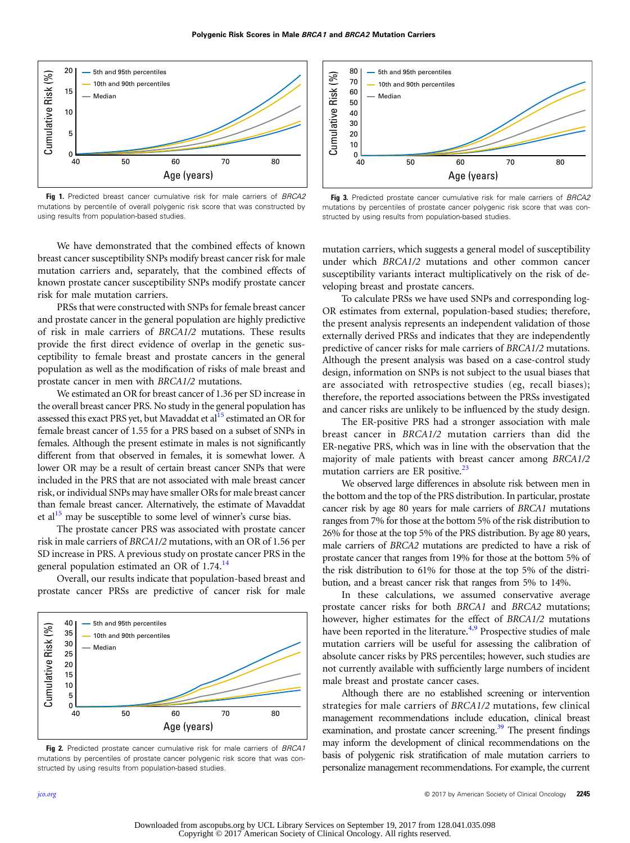<span id="page-5-0"></span>

Fig 1. Predicted breast cancer cumulative risk for male carriers of BRCA2 mutations by percentile of overall polygenic risk score that was constructed by using results from population-based studies.

We have demonstrated that the combined effects of known breast cancer susceptibility SNPs modify breast cancer risk for male mutation carriers and, separately, that the combined effects of known prostate cancer susceptibility SNPs modify prostate cancer risk for male mutation carriers.

PRSs that were constructed with SNPs for female breast cancer and prostate cancer in the general population are highly predictive of risk in male carriers of BRCA1/2 mutations. These results provide the first direct evidence of overlap in the genetic susceptibility to female breast and prostate cancers in the general population as well as the modification of risks of male breast and prostate cancer in men with BRCA1/2 mutations.

We estimated an OR for breast cancer of 1.36 per SD increase in the overall breast cancer PRS. No study in the general population has assessed this exact PRS yet, but Mavaddat et al<sup>15</sup> estimated an OR for female breast cancer of 1.55 for a PRS based on a subset of SNPs in females. Although the present estimate in males is not significantly different from that observed in females, it is somewhat lower. A lower OR may be a result of certain breast cancer SNPs that were included in the PRS that are not associated with male breast cancer risk, or individual SNPs may have smaller ORs for male breast cancer than female breast cancer. Alternatively, the estimate of Mavaddat et al<sup>15</sup> may be susceptible to some level of winner's curse bias.

The prostate cancer PRS was associated with prostate cancer risk in male carriers of BRCA1/2 mutations, with an OR of 1.56 per SD increase in PRS. A previous study on prostate cancer PRS in the general population estimated an OR of 1.74.<sup>[14](#page-7-0)</sup>

Overall, our results indicate that population-based breast and prostate cancer PRSs are predictive of cancer risk for male



Fig 2. Predicted prostate cancer cumulative risk for male carriers of BRCA1 mutations by percentiles of prostate cancer polygenic risk score that was constructed by using results from population-based studies.



Fig 3. Predicted prostate cancer cumulative risk for male carriers of BRCA2 mutations by percentiles of prostate cancer polygenic risk score that was constructed by using results from population-based studies.

mutation carriers, which suggests a general model of susceptibility under which BRCA1/2 mutations and other common cancer susceptibility variants interact multiplicatively on the risk of developing breast and prostate cancers.

To calculate PRSs we have used SNPs and corresponding log-OR estimates from external, population-based studies; therefore, the present analysis represents an independent validation of those externally derived PRSs and indicates that they are independently predictive of cancer risks for male carriers of BRCA1/2 mutations. Although the present analysis was based on a case-control study design, information on SNPs is not subject to the usual biases that are associated with retrospective studies (eg, recall biases); therefore, the reported associations between the PRSs investigated and cancer risks are unlikely to be influenced by the study design.

The ER-positive PRS had a stronger association with male breast cancer in BRCA1/2 mutation carriers than did the ER-negative PRS, which was in line with the observation that the majority of male patients with breast cancer among BRCA1/2 mutation carriers are ER positive.<sup>[23](#page-7-0)</sup>

We observed large differences in absolute risk between men in the bottom and the top of the PRS distribution. In particular, prostate cancer risk by age 80 years for male carriers of BRCA1 mutations ranges from 7% for those at the bottom 5% of the risk distribution to 26% for those at the top 5% of the PRS distribution. By age 80 years, male carriers of BRCA2 mutations are predicted to have a risk of prostate cancer that ranges from 19% for those at the bottom 5% of the risk distribution to 61% for those at the top 5% of the distribution, and a breast cancer risk that ranges from 5% to 14%.

In these calculations, we assumed conservative average prostate cancer risks for both BRCA1 and BRCA2 mutations; however, higher estimates for the effect of BRCA1/2 mutations have been reported in the literature.<sup>[4](#page-6-0)[,9](#page-7-0)</sup> Prospective studies of male mutation carriers will be useful for assessing the calibration of absolute cancer risks by PRS percentiles; however, such studies are not currently available with sufficiently large numbers of incident male breast and prostate cancer cases.

Although there are no established screening or intervention strategies for male carriers of BRCA1/2 mutations, few clinical management recommendations include education, clinical breast examination, and prostate cancer screening.<sup>[39](#page-7-0)</sup> The present findings may inform the development of clinical recommendations on the basis of polygenic risk stratification of male mutation carriers to personalize management recommendations. For example, the current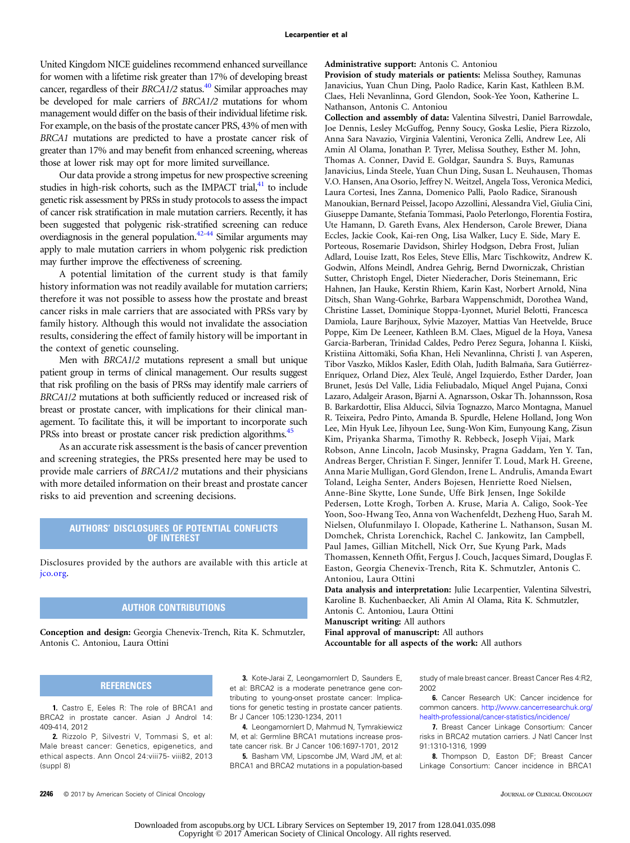<span id="page-6-0"></span>United Kingdom NICE guidelines recommend enhanced surveillance for women with a lifetime risk greater than 17% of developing breast cancer, regardless of their  $BRCA1/2$  status.<sup>[40](#page-7-0)</sup> Similar approaches may be developed for male carriers of BRCA1/2 mutations for whom management would differ on the basis of their individual lifetime risk. For example, on the basis of the prostate cancer PRS, 43% of men with BRCA1 mutations are predicted to have a prostate cancer risk of greater than 17% and may benefit from enhanced screening, whereas those at lower risk may opt for more limited surveillance.

Our data provide a strong impetus for new prospective screening studies in high-risk cohorts, such as the IMPACT trial,<sup>41</sup> to include genetic risk assessment by PRSs in study protocols to assess the impact of cancer risk stratification in male mutation carriers. Recently, it has been suggested that polygenic risk-stratified screening can reduce overdiagnosis in the general population.[42-44](#page-7-0) Similar arguments may apply to male mutation carriers in whom polygenic risk prediction may further improve the effectiveness of screening.

A potential limitation of the current study is that family history information was not readily available for mutation carriers; therefore it was not possible to assess how the prostate and breast cancer risks in male carriers that are associated with PRSs vary by family history. Although this would not invalidate the association results, considering the effect of family history will be important in the context of genetic counseling.

Men with BRCA1/2 mutations represent a small but unique patient group in terms of clinical management. Our results suggest that risk profiling on the basis of PRSs may identify male carriers of BRCA1/2 mutations at both sufficiently reduced or increased risk of breast or prostate cancer, with implications for their clinical management. To facilitate this, it will be important to incorporate such PRSs into breast or prostate cancer risk prediction algorithms.<sup>45</sup>

As an accurate risk assessment is the basis of cancer prevention and screening strategies, the PRSs presented here may be used to provide male carriers of BRCA1/2 mutations and their physicians with more detailed information on their breast and prostate cancer risks to aid prevention and screening decisions.

### AUTHORS' DISCLOSURES OF POTENTIAL CONFLICTS OF INTEREST

Disclosures provided by the authors are available with this article at [jco.org.](http://jco.org)

### AUTHOR CONTRIBUTIONS

Conception and design: Georgia Chenevix-Trench, Rita K. Schmutzler, Antonis C. Antoniou, Laura Ottini

### **REFERENCES**

1. Castro E, Eeles R: The role of BRCA1 and BRCA2 in prostate cancer. Asian J Androl 14: 409-414, 2012

2. Rizzolo P, Silvestri V, Tommasi S, et al: Male breast cancer: Genetics, epigenetics, and ethical aspects. Ann Oncol 24:viii75- viii82, 2013 (suppl 8)

### Administrative support: Antonis C. Antoniou

Provision of study materials or patients: Melissa Southey, Ramunas Janavicius, Yuan Chun Ding, Paolo Radice, Karin Kast, Kathleen B.M. Claes, Heli Nevanlinna, Gord Glendon, Sook-Yee Yoon, Katherine L. Nathanson, Antonis C. Antoniou

Collection and assembly of data: Valentina Silvestri, Daniel Barrowdale, Joe Dennis, Lesley McGuffog, Penny Soucy, Goska Leslie, Piera Rizzolo, Anna Sara Navazio, Virginia Valentini, Veronica Zelli, Andrew Lee, Ali Amin Al Olama, Jonathan P. Tyrer, Melissa Southey, Esther M. John, Thomas A. Conner, David E. Goldgar, Saundra S. Buys, Ramunas Janavicius, Linda Steele, Yuan Chun Ding, Susan L. Neuhausen, Thomas V.O. Hansen, Ana Osorio, Jeffrey N. Weitzel, Angela Toss, Veronica Medici, Laura Cortesi, Ines Zanna, Domenico Palli, Paolo Radice, Siranoush Manoukian, Bernard Peissel, Jacopo Azzollini, Alessandra Viel, Giulia Cini, Giuseppe Damante, Stefania Tommasi, Paolo Peterlongo, Florentia Fostira, Ute Hamann, D. Gareth Evans, Alex Henderson, Carole Brewer, Diana Eccles, Jackie Cook, Kai-ren Ong, Lisa Walker, Lucy E. Side, Mary E. Porteous, Rosemarie Davidson, Shirley Hodgson, Debra Frost, Julian Adlard, Louise Izatt, Ros Eeles, Steve Ellis, Marc Tischkowitz, Andrew K. Godwin, Alfons Meindl, Andrea Gehrig, Bernd Dworniczak, Christian Sutter, Christoph Engel, Dieter Niederacher, Doris Steinemann, Eric Hahnen, Jan Hauke, Kerstin Rhiem, Karin Kast, Norbert Arnold, Nina Ditsch, Shan Wang-Gohrke, Barbara Wappenschmidt, Dorothea Wand, Christine Lasset, Dominique Stoppa-Lyonnet, Muriel Belotti, Francesca Damiola, Laure Barjhoux, Sylvie Mazoyer, Mattias Van Heetvelde, Bruce Poppe, Kim De Leeneer, Kathleen B.M. Claes, Miguel de la Hoya, Vanesa Garcia-Barberan, Trinidad Caldes, Pedro Perez Segura, Johanna I. Kiiski, Kristiina Aittomäki, Sofia Khan, Heli Nevanlinna, Christi J. van Asperen, Tibor Vaszko, Miklos Kasler, Edith Olah, Judith Balmaña, Sara Gutiérrez-Enríquez, Orland Diez, Alex Teulé, Angel Izquierdo, Esther Darder, Joan Brunet, Jesús Del Valle, Lidia Feliubadalo, Miquel Angel Pujana, Conxi Lazaro, Adalgeir Arason, Bjarni A. Agnarsson, Oskar Th. Johannsson, Rosa B. Barkardottir, Elisa Alducci, Silvia Tognazzo, Marco Montagna, Manuel R. Teixeira, Pedro Pinto, Amanda B. Spurdle, Helene Holland, Jong Won Lee, Min Hyuk Lee, Jihyoun Lee, Sung-Won Kim, Eunyoung Kang, Zisun Kim, Priyanka Sharma, Timothy R. Rebbeck, Joseph Vijai, Mark Robson, Anne Lincoln, Jacob Musinsky, Pragna Gaddam, Yen Y. Tan, Andreas Berger, Christian F. Singer, Jennifer T. Loud, Mark H. Greene, Anna Marie Mulligan, Gord Glendon, Irene L. Andrulis, Amanda Ewart Toland, Leigha Senter, Anders Bojesen, Henriette Roed Nielsen, Anne-Bine Skytte, Lone Sunde, Uffe Birk Jensen, Inge Sokilde Pedersen, Lotte Krogh, Torben A. Kruse, Maria A. Caligo, Sook-Yee Yoon, Soo-Hwang Teo, Anna von Wachenfeldt, Dezheng Huo, Sarah M. Nielsen, Olufunmilayo I. Olopade, Katherine L. Nathanson, Susan M. Domchek, Christa Lorenchick, Rachel C. Jankowitz, Ian Campbell, Paul James, Gillian Mitchell, Nick Orr, Sue Kyung Park, Mads Thomassen, Kenneth Offit, Fergus J. Couch, Jacques Simard, Douglas F. Easton, Georgia Chenevix-Trench, Rita K. Schmutzler, Antonis C. Antoniou, Laura Ottini

Data analysis and interpretation: Julie Lecarpentier, Valentina Silvestri, Karoline B. Kuchenbaecker, Ali Amin Al Olama, Rita K. Schmutzler, Antonis C. Antoniou, Laura Ottini

Manuscript writing: All authors

Final approval of manuscript: All authors Accountable for all aspects of the work: All authors

3. Kote-Jarai Z, Leongamornlert D, Saunders E, et al: BRCA2 is a moderate penetrance gene contributing to young-onset prostate cancer: Implications for genetic testing in prostate cancer patients. Br J Cancer 105:1230-1234, 2011

4. Leongamornlert D, Mahmud N, Tymrakiewicz M, et al: Germline BRCA1 mutations increase prostate cancer risk. Br J Cancer 106:1697-1701, 2012

5. Basham VM, Lipscombe JM, Ward JM, et al: BRCA1 and BRCA2 mutations in a population-based study of male breast cancer. Breast Cancer Res 4:R2, 2002

6. Cancer Research UK: Cancer incidence for common cancers. [http://www.cancerresearchuk.org/](http://www.cancerresearchuk.org/health-professional/cancer-statistics/incidence/) [health-professional/cancer-statistics/incidence/](http://www.cancerresearchuk.org/health-professional/cancer-statistics/incidence/)

7. Breast Cancer Linkage Consortium: Cancer risks in BRCA2 mutation carriers. J Natl Cancer Inst 91:1310-1316, 1999

8. Thompson D, Easton DF; Breast Cancer Linkage Consortium: Cancer incidence in BRCA1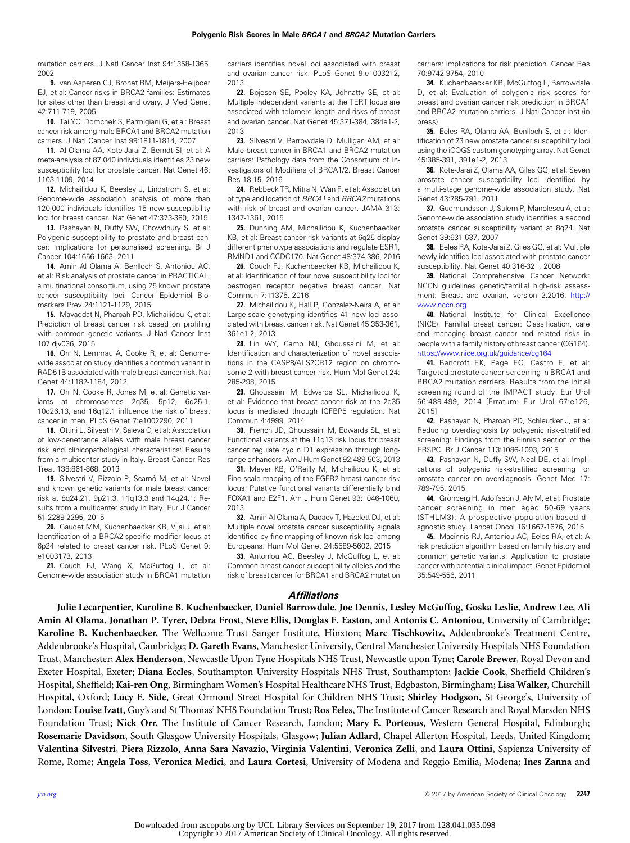<span id="page-7-0"></span>mutation carriers. J Natl Cancer Inst 94:1358-1365, 2002

9. van Asperen CJ, Brohet RM, Meijers-Heijboer EJ, et al: Cancer risks in BRCA2 families: Estimates for sites other than breast and ovary. J Med Genet 42:711-719, 2005

10. Tai YC, Domchek S, Parmigiani G, et al: Breast cancer risk among male BRCA1 and BRCA2 mutation carriers. J Natl Cancer Inst 99:1811-1814, 2007

11. Al Olama AA, Kote-Jarai Z, Berndt SI, et al: A meta-analysis of 87,040 individuals identifies 23 new susceptibility loci for prostate cancer. Nat Genet 46: 1103-1109, 2014

12. Michailidou K, Beesley J, Lindstrom S, et al: Genome-wide association analysis of more than 120,000 individuals identifies 15 new susceptibility loci for breast cancer. Nat Genet 47:373-380, 2015

13. Pashayan N, Duffy SW, Chowdhury S, et al: Polygenic susceptibility to prostate and breast cancer: Implications for personalised screening. Br J Cancer 104:1656-1663, 2011

14. Amin Al Olama A, Benlloch S, Antoniou AC, et al: Risk analysis of prostate cancer in PRACTICAL, a multinational consortium, using 25 known prostate cancer susceptibility loci. Cancer Epidemiol Biomarkers Prev 24:1121-1129, 2015

15. Mavaddat N, Pharoah PD, Michailidou K, et al: Prediction of breast cancer risk based on profiling with common genetic variants. J Natl Cancer Inst 107:djv036, 2015

16. Orr N, Lemnrau A, Cooke R, et al: Genomewide association study identifies a common variant in RAD51B associated with male breast cancer risk. Nat Genet 44:1182-1184, 2012

17. Orr N, Cooke R, Jones M, et al: Genetic variants at chromosomes 2q35, 5p12, 6q25.1, 10q26.13, and 16q12.1 influence the risk of breast cancer in men. PLoS Genet 7:e1002290, 2011

18. Ottini L, Silvestri V, Saieva C, et al: Association of low-penetrance alleles with male breast cancer risk and clinicopathological characteristics: Results from a multicenter study in Italy. Breast Cancer Res Treat 138:861-868, 2013

19. Silvestri V, Rizzolo P, Scarnò M, et al: Novel and known genetic variants for male breast cancer risk at 8q24.21, 9p21.3, 11q13.3 and 14q24.1: Results from a multicenter study in Italy. Eur J Cancer 51:2289-2295, 2015

20. Gaudet MM, Kuchenbaecker KB, Vijai J, et al: Identification of a BRCA2-specific modifier locus at 6p24 related to breast cancer risk. PLoS Genet 9: e1003173, 2013

21. Couch FJ, Wang X, McGuffog L, et al: Genome-wide association study in BRCA1 mutation carriers identifies novel loci associated with breast and ovarian cancer risk. PLoS Genet 9:e1003212, 2013

22. Bojesen SE, Pooley KA, Johnatty SE, et al: Multiple independent variants at the TERT locus are associated with telomere length and risks of breast and ovarian cancer. Nat Genet 45:371-384, 384e1-2, 2013

23. Silvestri V, Barrowdale D, Mulligan AM, et al: Male breast cancer in BRCA1 and BRCA2 mutation carriers: Pathology data from the Consortium of Investigators of Modifiers of BRCA1/2. Breast Cancer Res 18:15, 2016

24. Rebbeck TR, Mitra N, Wan F, et al: Association of type and location of BRCA1 and BRCA2 mutations with risk of breast and ovarian cancer. JAMA 313: 1347-1361, 2015

25. Dunning AM, Michailidou K, Kuchenbaecker KB, et al: Breast cancer risk variants at 6q25 display different phenotype associations and regulate ESR1, RMND1 and CCDC170. Nat Genet 48:374-386, 2016

26. Couch FJ, Kuchenbaecker KB, Michailidou K, et al: Identification of four novel susceptibility loci for oestrogen receptor negative breast cancer. Nat Commun 7:11375, 2016

27. Michailidou K, Hall P, Gonzalez-Neira A, et al: Large-scale genotyping identifies 41 new loci associated with breast cancer risk. Nat Genet 45:353-361, 361e1-2, 2013

28. Lin WY, Camp NJ, Ghoussaini M, et al: Identification and characterization of novel associations in the CASP8/ALS2CR12 region on chromosome 2 with breast cancer risk. Hum Mol Genet 24: 285-298, 2015

29. Ghoussaini M, Edwards SL, Michailidou K, et al: Evidence that breast cancer risk at the 2q35 locus is mediated through IGFBP5 regulation. Nat Commun 4:4999, 2014

30. French JD, Ghoussaini M, Edwards SL, et al: Functional variants at the 11q13 risk locus for breast cancer regulate cyclin D1 expression through longrange enhancers. Am J Hum Genet 92:489-503, 2013

31. Meyer KB, O'Reilly M, Michailidou K, et al: Fine-scale mapping of the FGFR2 breast cancer risk locus: Putative functional variants differentially bind FOXA1 and E2F1. Am J Hum Genet 93:1046-1060, 2013

32. Amin Al Olama A, Dadaev T, Hazelett DJ, et al: Multiple novel prostate cancer susceptibility signals identified by fine-mapping of known risk loci among Europeans. Hum Mol Genet 24:5589-5602, 2015

33. Antoniou AC, Beesley J, McGuffog L, et al: Common breast cancer susceptibility alleles and the risk of breast cancer for BRCA1 and BRCA2 mutation

carriers: implications for risk prediction. Cancer Res 70:9742-9754, 2010

34. Kuchenbaecker KB, McGuffog L, Barrowdale D, et al: Evaluation of polygenic risk scores for breast and ovarian cancer risk prediction in BRCA1 and BRCA2 mutation carriers. J Natl Cancer Inst (in press)

35. Eeles RA, Olama AA, Benlloch S, et al: Identification of 23 new prostate cancer susceptibility loci using the iCOGS custom genotyping array. Nat Genet 45:385-391, 391e1-2, 2013

36. Kote-Jarai Z, Olama AA, Giles GG, et al: Seven prostate cancer susceptibility loci identified by a multi-stage genome-wide association study. Nat Genet 43:785-791, 2011

37. Gudmundsson J, Sulem P, Manolescu A, et al: Genome-wide association study identifies a second prostate cancer susceptibility variant at 8q24. Nat Genet 39:631-637, 2007

38. Eeles RA, Kote-Jarai Z, Giles GG, et al: Multiple newly identified loci associated with prostate cancer susceptibility. Nat Genet 40:316-321, 2008

39. National Comprehensive Cancer Network: NCCN guidelines genetic/familial high-risk assessment: Breast and ovarian, version 2.2016. [http://](http://www.nccn.org) [www.nccn.org](http://www.nccn.org)

40. National Institute for Clinical Excellence (NICE): Familial breast cancer: Classification, care and managing breast cancer and related risks in people with a family history of breast cancer (CG164). <https://www.nice.org.uk/guidance/cg164>

41. Bancroft EK, Page EC, Castro E, et al: Targeted prostate cancer screening in BRCA1 and BRCA2 mutation carriers: Results from the initial screening round of the IMPACT study. Eur Urol 66:489-499, 2014 [Erratum: Eur Urol 67:e126, 2015]

42. Pashayan N, Pharoah PD, Schleutker J, et al: Reducing overdiagnosis by polygenic risk-stratified screening: Findings from the Finnish section of the ERSPC. Br J Cancer 113:1086-1093, 2015

43. Pashayan N, Duffy SW, Neal DE, et al: Implications of polygenic risk-stratified screening for prostate cancer on overdiagnosis. Genet Med 17: 789-795, 2015

44. Grönberg H, Adolfsson J, Aly M, et al: Prostate cancer screening in men aged 50-69 years (STHLM3): A prospective population-based diagnostic study. Lancet Oncol 16:1667-1676, 2015

45. Macinnis RJ, Antoniou AC, Eeles RA, et al: A risk prediction algorithm based on family history and common genetic variants: Application to prostate cancer with potential clinical impact. Genet Epidemiol 35:549-556, 2011

**Affiliations** 

Julie Lecarpentier, Karoline B. Kuchenbaecker, Daniel Barrowdale, Joe Dennis, Lesley McGuffog, Goska Leslie, Andrew Lee, Ali Amin Al Olama, Jonathan P. Tyrer, Debra Frost, Steve Ellis, Douglas F. Easton, and Antonis C. Antoniou, University of Cambridge; Karoline B. Kuchenbaecker, The Wellcome Trust Sanger Institute, Hinxton; Marc Tischkowitz, Addenbrooke's Treatment Centre, Addenbrooke's Hospital, Cambridge; D. Gareth Evans, Manchester University, Central Manchester University Hospitals NHS Foundation Trust, Manchester; Alex Henderson, Newcastle Upon Tyne Hospitals NHS Trust, Newcastle upon Tyne; Carole Brewer, Royal Devon and Exeter Hospital, Exeter; Diana Eccles, Southampton University Hospitals NHS Trust, Southampton; Jackie Cook, Sheffield Children's Hospital, Sheffield; Kai-ren Ong, Birmingham Women's Hospital Healthcare NHS Trust, Edgbaston, Birmingham; Lisa Walker, Churchill Hospital, Oxford; Lucy E. Side, Great Ormond Street Hospital for Children NHS Trust; Shirley Hodgson, St George's, University of London; Louise Izatt, Guy's and St Thomas' NHS Foundation Trust; Ros Eeles, The Institute of Cancer Research and Royal Marsden NHS Foundation Trust; Nick Orr, The Institute of Cancer Research, London; Mary E. Porteous, Western General Hospital, Edinburgh; Rosemarie Davidson, South Glasgow University Hospitals, Glasgow; Julian Adlard, Chapel Allerton Hospital, Leeds, United Kingdom; Valentina Silvestri, Piera Rizzolo, Anna Sara Navazio, Virginia Valentini, Veronica Zelli, and Laura Ottini, Sapienza University of Rome, Rome; Angela Toss, Veronica Medici, and Laura Cortesi, University of Modena and Reggio Emilia, Modena; Ines Zanna and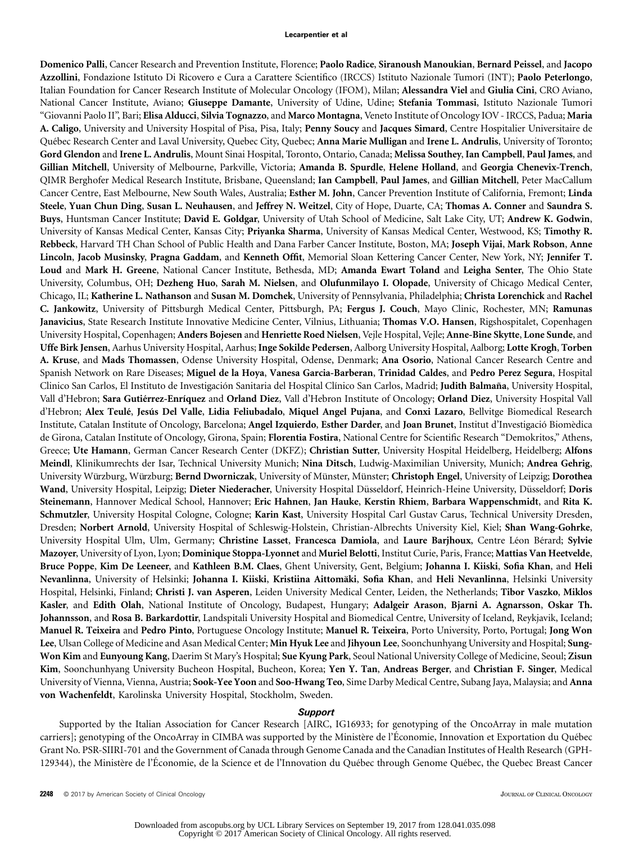Domenico Palli, Cancer Research and Prevention Institute, Florence; Paolo Radice, Siranoush Manoukian, Bernard Peissel, and Jacopo Azzollini, Fondazione Istituto Di Ricovero e Cura a Carattere Scientifico (IRCCS) Istituto Nazionale Tumori (INT); Paolo Peterlongo, Italian Foundation for Cancer Research Institute of Molecular Oncology (IFOM), Milan; Alessandra Viel and Giulia Cini, CRO Aviano, National Cancer Institute, Aviano; Giuseppe Damante, University of Udine, Udine; Stefania Tommasi, Istituto Nazionale Tumori "Giovanni Paolo II", Bari; Elisa Alducci, Silvia Tognazzo, and Marco Montagna, Veneto Institute of Oncology IOV - IRCCS, Padua; Maria A. Caligo, University and University Hospital of Pisa, Pisa, Italy; Penny Soucy and Jacques Simard, Centre Hospitalier Universitaire de Québec Research Center and Laval University, Quebec City, Quebec; Anna Marie Mulligan and Irene L. Andrulis, University of Toronto; Gord Glendon and Irene L. Andrulis, Mount Sinai Hospital, Toronto, Ontario, Canada; Melissa Southey, Ian Campbell, Paul James, and Gillian Mitchell, University of Melbourne, Parkville, Victoria; Amanda B. Spurdle, Helene Holland, and Georgia Chenevix-Trench, QIMR Berghofer Medical Research Institute, Brisbane, Queensland; Ian Campbell, Paul James, and Gillian Mitchell, Peter MacCallum Cancer Centre, East Melbourne, New South Wales, Australia; Esther M. John, Cancer Prevention Institute of California, Fremont; Linda Steele, Yuan Chun Ding, Susan L. Neuhausen, and Jeffrey N. Weitzel, City of Hope, Duarte, CA; Thomas A. Conner and Saundra S. Buys, Huntsman Cancer Institute; David E. Goldgar, University of Utah School of Medicine, Salt Lake City, UT; Andrew K. Godwin, University of Kansas Medical Center, Kansas City; Priyanka Sharma, University of Kansas Medical Center, Westwood, KS; Timothy R. Rebbeck, Harvard TH Chan School of Public Health and Dana Farber Cancer Institute, Boston, MA; Joseph Vijai, Mark Robson, Anne Lincoln, Jacob Musinsky, Pragna Gaddam, and Kenneth Offit, Memorial Sloan Kettering Cancer Center, New York, NY; Jennifer T. Loud and Mark H. Greene, National Cancer Institute, Bethesda, MD; Amanda Ewart Toland and Leigha Senter, The Ohio State University, Columbus, OH; Dezheng Huo, Sarah M. Nielsen, and Olufunmilayo I. Olopade, University of Chicago Medical Center, Chicago, IL; Katherine L. Nathanson and Susan M. Domchek, University of Pennsylvania, Philadelphia; Christa Lorenchick and Rachel C. Jankowitz, University of Pittsburgh Medical Center, Pittsburgh, PA; Fergus J. Couch, Mayo Clinic, Rochester, MN; Ramunas Janavicius, State Research Institute Innovative Medicine Center, Vilnius, Lithuania; Thomas V.O. Hansen, Rigshospitalet, Copenhagen University Hospital, Copenhagen; Anders Bojesen and Henriette Roed Nielsen, Vejle Hospital, Vejle; Anne-Bine Skytte, Lone Sunde, and Uffe Birk Jensen, Aarhus University Hospital, Aarhus; Inge Sokilde Pedersen, Aalborg University Hospital, Aalborg; Lotte Krogh, Torben A. Kruse, and Mads Thomassen, Odense University Hospital, Odense, Denmark; Ana Osorio, National Cancer Research Centre and Spanish Network on Rare Diseases; Miguel de la Hoya, Vanesa Garcia-Barberan, Trinidad Caldes, and Pedro Perez Segura, Hospital Clinico San Carlos, El Instituto de Investigación Sanitaria del Hospital Clínico San Carlos, Madrid; Judith Balmaña, University Hospital, Vall d'Hebron; Sara Gutiérrez-Enríquez and Orland Diez, Vall d'Hebron Institute of Oncology; Orland Diez, University Hospital Vall d'Hebron; Alex Teulé, Jesús Del Valle, Lidia Feliubadalo, Miquel Angel Pujana, and Conxi Lazaro, Bellvitge Biomedical Research Institute, Catalan Institute of Oncology, Barcelona; Angel Izquierdo, Esther Darder, and Joan Brunet, Institut d'Investigació Biomèdica de Girona, Catalan Institute of Oncology, Girona, Spain; Florentia Fostira, National Centre for Scientific Research "Demokritos," Athens, Greece; Ute Hamann, German Cancer Research Center (DKFZ); Christian Sutter, University Hospital Heidelberg, Heidelberg; Alfons Meindl, Klinikumrechts der Isar, Technical University Munich; Nina Ditsch, Ludwig-Maximilian University, Munich; Andrea Gehrig, University Würzburg, Würzburg; Bernd Dworniczak, University of Münster, Münster; Christoph Engel, University of Leipzig; Dorothea Wand, University Hospital, Leipzig; Dieter Niederacher, University Hospital Düsseldorf, Heinrich-Heine University, Düsseldorf; Doris Steinemann, Hannover Medical School, Hannover; Eric Hahnen, Jan Hauke, Kerstin Rhiem, Barbara Wappenschmidt, and Rita K. Schmutzler, University Hospital Cologne, Cologne; Karin Kast, University Hospital Carl Gustav Carus, Technical University Dresden, Dresden; Norbert Arnold, University Hospital of Schleswig-Holstein, Christian-Albrechts University Kiel, Kiel; Shan Wang-Gohrke, University Hospital Ulm, Ulm, Germany; Christine Lasset, Francesca Damiola, and Laure Barjhoux, Centre Léon Bérard; Sylvie Mazoyer, University of Lyon, Lyon; Dominique Stoppa-Lyonnet and Muriel Belotti, Institut Curie, Paris, France; Mattias Van Heetvelde, Bruce Poppe, Kim De Leeneer, and Kathleen B.M. Claes, Ghent University, Gent, Belgium; Johanna I. Kiiski, Sofia Khan, and Heli Nevanlinna, University of Helsinki; Johanna I. Kiiski, Kristiina Aittomäki, Sofia Khan, and Heli Nevanlinna, Helsinki University Hospital, Helsinki, Finland; Christi J. van Asperen, Leiden University Medical Center, Leiden, the Netherlands; Tibor Vaszko, Miklos Kasler, and Edith Olah, National Institute of Oncology, Budapest, Hungary; Adalgeir Arason, Bjarni A. Agnarsson, Oskar Th. Johannsson, and Rosa B. Barkardottir, Landspitali University Hospital and Biomedical Centre, University of Iceland, Reykjavik, Iceland; Manuel R. Teixeira and Pedro Pinto, Portuguese Oncology Institute; Manuel R. Teixeira, Porto University, Porto, Portugal; Jong Won Lee, Ulsan College of Medicine and Asan Medical Center; Min Hyuk Lee and Jihyoun Lee, Soonchunhyang University and Hospital; Sung-Won Kim and Eunyoung Kang, Daerim St Mary's Hospital; Sue Kyung Park, Seoul National University College of Medicine, Seoul; Zisun Kim, Soonchunhyang University Bucheon Hospital, Bucheon, Korea; Yen Y. Tan, Andreas Berger, and Christian F. Singer, Medical University of Vienna, Vienna, Austria; Sook-Yee Yoon and Soo-Hwang Teo, Sime Darby Medical Centre, Subang Jaya, Malaysia; and Anna von Wachenfeldt, Karolinska University Hospital, Stockholm, Sweden.

### Support

Supported by the Italian Association for Cancer Research [AIRC, IG16933; for genotyping of the OncoArray in male mutation carriers]; genotyping of the OncoArray in CIMBA was supported by the Ministère de l'Économie, Innovation et Exportation du Québec Grant No. PSR-SIIRI-701 and the Government of Canada through Genome Canada and the Canadian Institutes of Health Research (GPH-129344), the Ministère de l'Économie, de la Science et de l'Innovation du Québec through Genome Québec, the Quebec Breast Cancer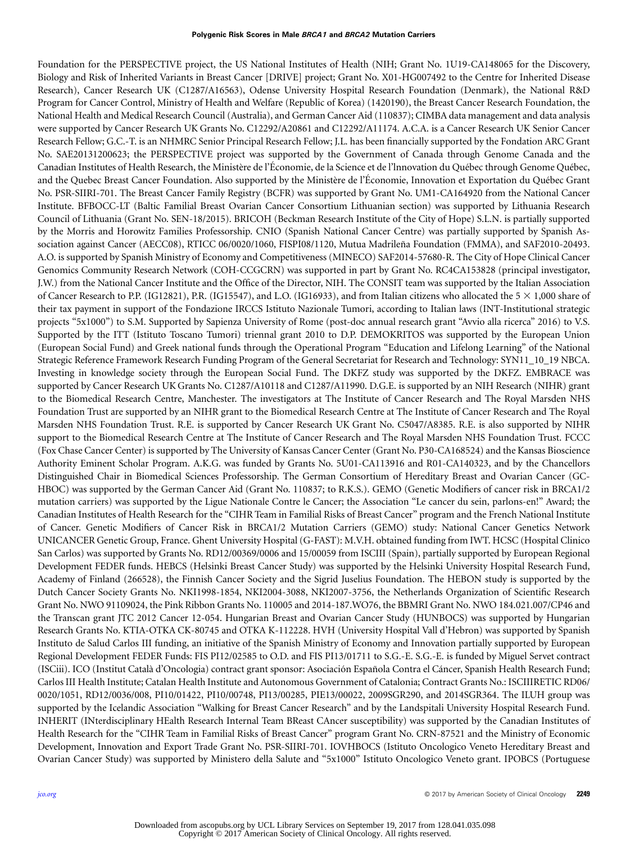Foundation for the PERSPECTIVE project, the US National Institutes of Health (NIH; Grant No. 1U19-CA148065 for the Discovery, Biology and Risk of Inherited Variants in Breast Cancer [DRIVE] project; Grant No. X01-HG007492 to the Centre for Inherited Disease Research), Cancer Research UK (C1287/A16563), Odense University Hospital Research Foundation (Denmark), the National R&D Program for Cancer Control, Ministry of Health and Welfare (Republic of Korea) (1420190), the Breast Cancer Research Foundation, the National Health and Medical Research Council (Australia), and German Cancer Aid (110837); CIMBA data management and data analysis were supported by Cancer Research UK Grants No. C12292/A20861 and C12292/A11174. A.C.A. is a Cancer Research UK Senior Cancer Research Fellow; G.C.-T. is an NHMRC Senior Principal Research Fellow; J.L. has been financially supported by the Fondation ARC Grant No. SAE20131200623; the PERSPECTIVE project was supported by the Government of Canada through Genome Canada and the Canadian Institutes of Health Research, the Ministère de l'Économie, de la Science et de l'Innovation du Québec through Genome Québec, and the Quebec Breast Cancer Foundation. Also supported by the Ministère de l'Économie, Innovation et Exportation du Québec Grant No. PSR-SIIRI-701. The Breast Cancer Family Registry (BCFR) was supported by Grant No. UM1-CA164920 from the National Cancer Institute. BFBOCC-LT (Baltic Familial Breast Ovarian Cancer Consortium Lithuanian section) was supported by Lithuania Research Council of Lithuania (Grant No. SEN-18/2015). BRICOH (Beckman Research Institute of the City of Hope) S.L.N. is partially supported by the Morris and Horowitz Families Professorship. CNIO (Spanish National Cancer Centre) was partially supported by Spanish Association against Cancer (AECC08), RTICC 06/0020/1060, FISPI08/1120, Mutua Madrileña Foundation (FMMA), and SAF2010-20493. A.O. is supported by Spanish Ministry of Economy and Competitiveness (MINECO) SAF2014-57680-R. The City of Hope Clinical Cancer Genomics Community Research Network (COH-CCGCRN) was supported in part by Grant No. RC4CA153828 (principal investigator, J.W.) from the National Cancer Institute and the Office of the Director, NIH. The CONSIT team was supported by the Italian Association of Cancer Research to P.P. (IG12821), P.R. (IG15547), and L.O. (IG16933), and from Italian citizens who allocated the 5  $\times$  1,000 share of their tax payment in support of the Fondazione IRCCS Istituto Nazionale Tumori, according to Italian laws (INT-Institutional strategic projects "5x1000") to S.M. Supported by Sapienza University of Rome (post-doc annual research grant "Avvio alla ricerca" 2016) to V.S. Supported by the ITT (Istituto Toscano Tumori) triennal grant 2010 to D.P. DEMOKRITOS was supported by the European Union (European Social Fund) and Greek national funds through the Operational Program "Education and Lifelong Learning" of the National Strategic Reference Framework Research Funding Program of the General Secretariat for Research and Technology: SYN11\_10\_19 NBCA. Investing in knowledge society through the European Social Fund. The DKFZ study was supported by the DKFZ. EMBRACE was supported by Cancer Research UK Grants No. C1287/A10118 and C1287/A11990. D.G.E. is supported by an NIH Research (NIHR) grant to the Biomedical Research Centre, Manchester. The investigators at The Institute of Cancer Research and The Royal Marsden NHS Foundation Trust are supported by an NIHR grant to the Biomedical Research Centre at The Institute of Cancer Research and The Royal Marsden NHS Foundation Trust. R.E. is supported by Cancer Research UK Grant No. C5047/A8385. R.E. is also supported by NIHR support to the Biomedical Research Centre at The Institute of Cancer Research and The Royal Marsden NHS Foundation Trust. FCCC (Fox Chase Cancer Center) is supported by The University of Kansas Cancer Center (Grant No. P30-CA168524) and the Kansas Bioscience Authority Eminent Scholar Program. A.K.G. was funded by Grants No. 5U01-CA113916 and R01-CA140323, and by the Chancellors Distinguished Chair in Biomedical Sciences Professorship. The German Consortium of Hereditary Breast and Ovarian Cancer (GC-HBOC) was supported by the German Cancer Aid (Grant No. 110837; to R.K.S.). GEMO (Genetic Modifiers of cancer risk in BRCA1/2 mutation carriers) was supported by the Ligue Nationale Contre le Cancer; the Association "Le cancer du sein, parlons-en!" Award; the Canadian Institutes of Health Research for the "CIHR Team in Familial Risks of Breast Cancer" program and the French National Institute of Cancer. Genetic Modifiers of Cancer Risk in BRCA1/2 Mutation Carriers (GEMO) study: National Cancer Genetics Network UNICANCER Genetic Group, France. Ghent University Hospital (G-FAST): M.V.H. obtained funding from IWT. HCSC (Hospital Clinico San Carlos) was supported by Grants No. RD12/00369/0006 and 15/00059 from ISCIII (Spain), partially supported by European Regional Development FEDER funds. HEBCS (Helsinki Breast Cancer Study) was supported by the Helsinki University Hospital Research Fund, Academy of Finland (266528), the Finnish Cancer Society and the Sigrid Juselius Foundation. The HEBON study is supported by the Dutch Cancer Society Grants No. NKI1998-1854, NKI2004-3088, NKI2007-3756, the Netherlands Organization of Scientific Research Grant No. NWO 91109024, the Pink Ribbon Grants No. 110005 and 2014-187.WO76, the BBMRI Grant No. NWO 184.021.007/CP46 and the Transcan grant JTC 2012 Cancer 12-054. Hungarian Breast and Ovarian Cancer Study (HUNBOCS) was supported by Hungarian Research Grants No. KTIA-OTKA CK-80745 and OTKA K-112228. HVH (University Hospital Vall d'Hebron) was supported by Spanish Instituto de Salud Carlos III funding, an initiative of the Spanish Ministry of Economy and Innovation partially supported by European Regional Development FEDER Funds: FIS PI12/02585 to O.D. and FIS PI13/01711 to S.G.-E. S.G.-E. is funded by Miguel Servet contract (ISCiii). ICO (Institut Català d'Oncologia) contract grant sponsor: Asociación Española Contra el Cáncer, Spanish Health Research Fund; Carlos III Health Institute; Catalan Health Institute and Autonomous Government of Catalonia; Contract Grants No.: ISCIIIRETIC RD06/ 0020/1051, RD12/0036/008, PI10/01422, PI10/00748, PI13/00285, PIE13/00022, 2009SGR290, and 2014SGR364. The ILUH group was supported by the Icelandic Association "Walking for Breast Cancer Research" and by the Landspitali University Hospital Research Fund. INHERIT (INterdisciplinary HEalth Research Internal Team BReast CAncer susceptibility) was supported by the Canadian Institutes of Health Research for the "CIHR Team in Familial Risks of Breast Cancer" program Grant No. CRN-87521 and the Ministry of Economic Development, Innovation and Export Trade Grant No. PSR-SIIRI-701. IOVHBOCS (Istituto Oncologico Veneto Hereditary Breast and Ovarian Cancer Study) was supported by Ministero della Salute and "5x1000" Istituto Oncologico Veneto grant. IPOBCS (Portuguese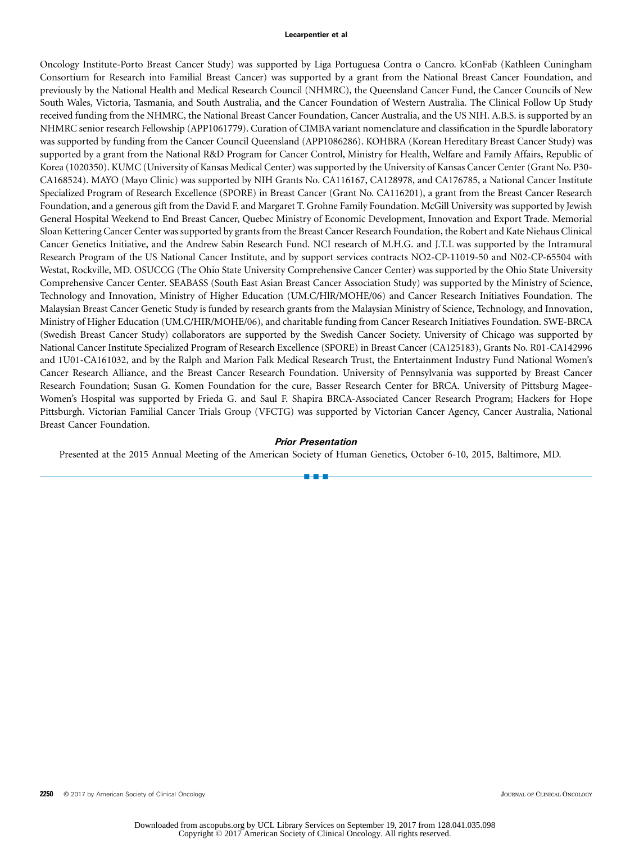Oncology Institute-Porto Breast Cancer Study) was supported by Liga Portuguesa Contra o Cancro. kConFab (Kathleen Cuningham Consortium for Research into Familial Breast Cancer) was supported by a grant from the National Breast Cancer Foundation, and previously by the National Health and Medical Research Council (NHMRC), the Queensland Cancer Fund, the Cancer Councils of New South Wales, Victoria, Tasmania, and South Australia, and the Cancer Foundation of Western Australia. The Clinical Follow Up Study received funding from the NHMRC, the National Breast Cancer Foundation, Cancer Australia, and the US NIH. A.B.S. is supported by an NHMRC senior research Fellowship (APP1061779). Curation of CIMBA variant nomenclature and classification in the Spurdle laboratory was supported by funding from the Cancer Council Queensland (APP1086286). KOHBRA (Korean Hereditary Breast Cancer Study) was supported by a grant from the National R&D Program for Cancer Control, Ministry for Health, Welfare and Family Affairs, Republic of Korea (1020350). KUMC (University of Kansas Medical Center) was supported by the University of Kansas Cancer Center (Grant No. P30- CA168524). MAYO (Mayo Clinic) was supported by NIH Grants No. CA116167, CA128978, and CA176785, a National Cancer Institute Specialized Program of Research Excellence (SPORE) in Breast Cancer (Grant No. CA116201), a grant from the Breast Cancer Research Foundation, and a generous gift from the David F. and Margaret T. Grohne Family Foundation. McGill University was supported by Jewish General Hospital Weekend to End Breast Cancer, Quebec Ministry of Economic Development, Innovation and Export Trade. Memorial Sloan Kettering Cancer Center was supported by grants from the Breast Cancer Research Foundation, the Robert and Kate Niehaus Clinical Cancer Genetics Initiative, and the Andrew Sabin Research Fund. NCI research of M.H.G. and J.T.L was supported by the Intramural Research Program of the US National Cancer Institute, and by support services contracts NO2-CP-11019-50 and N02-CP-65504 with Westat, Rockville, MD. OSUCCG (The Ohio State University Comprehensive Cancer Center) was supported by the Ohio State University Comprehensive Cancer Center. SEABASS (South East Asian Breast Cancer Association Study) was supported by the Ministry of Science, Technology and Innovation, Ministry of Higher Education (UM.C/HlR/MOHE/06) and Cancer Research Initiatives Foundation. The Malaysian Breast Cancer Genetic Study is funded by research grants from the Malaysian Ministry of Science, Technology, and Innovation, Ministry of Higher Education (UM.C/HIR/MOHE/06), and charitable funding from Cancer Research Initiatives Foundation. SWE-BRCA (Swedish Breast Cancer Study) collaborators are supported by the Swedish Cancer Society. University of Chicago was supported by National Cancer Institute Specialized Program of Research Excellence (SPORE) in Breast Cancer (CA125183), Grants No. R01-CA142996 and 1U01-CA161032, and by the Ralph and Marion Falk Medical Research Trust, the Entertainment Industry Fund National Women's Cancer Research Alliance, and the Breast Cancer Research Foundation. University of Pennsylvania was supported by Breast Cancer Research Foundation; Susan G. Komen Foundation for the cure, Basser Research Center for BRCA. University of Pittsburg Magee-Women's Hospital was supported by Frieda G. and Saul F. Shapira BRCA-Associated Cancer Research Program; Hackers for Hope Pittsburgh. Victorian Familial Cancer Trials Group (VFCTG) was supported by Victorian Cancer Agency, Cancer Australia, National Breast Cancer Foundation.

### Prior Presentation

a - a - a

Presented at the 2015 Annual Meeting of the American Society of Human Genetics, October 6-10, 2015, Baltimore, MD.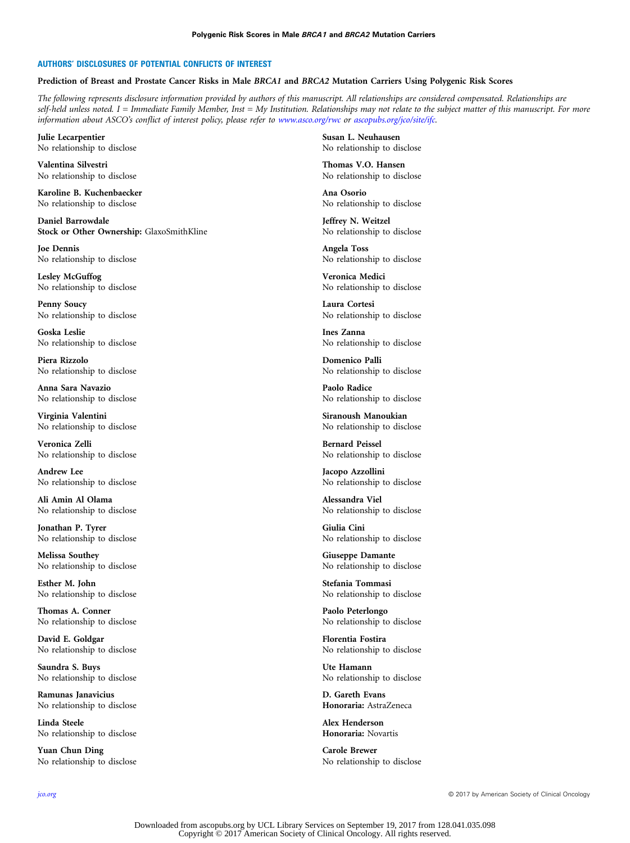### AUTHORS' DISCLOSURES OF POTENTIAL CONFLICTS OF INTEREST

### Prediction of Breast and Prostate Cancer Risks in Male BRCA1 and BRCA2 Mutation Carriers Using Polygenic Risk Scores

The following represents disclosure information provided by authors of this manuscript. All relationships are considered compensated. Relationships are self-held unless noted. I = Immediate Family Member, Inst = My Institution. Relationships may not relate to the subject matter of this manuscript. For more information about ASCO's conflict of interest policy, please refer to [www.asco.org/rwc](http://www.asco.org/rwc) or [ascopubs.org/jco/site/ifc](http://ascopubs.org/jco/site/ifc).

Julie Lecarpentier No relationship to disclose

Valentina Silvestri No relationship to disclose

Karoline B. Kuchenbaecker No relationship to disclose

Daniel Barrowdale Stock or Other Ownership: GlaxoSmithKline

Joe Dennis No relationship to disclose

Lesley McGuffog No relationship to disclose

Penny Soucy No relationship to disclose

Goska Leslie No relationship to disclose

Piera Rizzolo No relationship to disclose

Anna Sara Navazio No relationship to disclose

Virginia Valentini No relationship to disclose

Veronica Zelli No relationship to disclose

Andrew Lee No relationship to disclose

Ali Amin Al Olama No relationship to disclose

Jonathan P. Tyrer No relationship to disclose

Melissa Southey No relationship to disclose

Esther M. John No relationship to disclose

Thomas A. Conner No relationship to disclose

David E. Goldgar No relationship to disclose

Saundra S. Buys No relationship to disclose

Ramunas Janavicius No relationship to disclose

Linda Steele No relationship to disclose

Yuan Chun Ding No relationship to disclose

Susan L. Neuhausen No relationship to disclose

Thomas V.O. Hansen No relationship to disclose

Ana Osorio No relationship to disclose

Jeffrey N. Weitzel No relationship to disclose

Angela Toss No relationship to disclose

Veronica Medici No relationship to disclose

Laura Cortesi No relationship to disclose

Ines Zanna No relationship to disclose

Domenico Palli No relationship to disclose

Paolo Radice No relationship to disclose

Siranoush Manoukian No relationship to disclose

Bernard Peissel No relationship to disclose

Jacopo Azzollini No relationship to disclose

Alessandra Viel No relationship to disclose

Giulia Cini No relationship to disclose

Giuseppe Damante No relationship to disclose

Stefania Tommasi No relationship to disclose

Paolo Peterlongo No relationship to disclose

Florentia Fostira No relationship to disclose

Ute Hamann No relationship to disclose

D. Gareth Evans Honoraria: AstraZeneca

Alex Henderson Honoraria: Novartis

Carole Brewer No relationship to disclose

[jco.org](http://jco.org) © 2017 by American Society of Clinical Oncology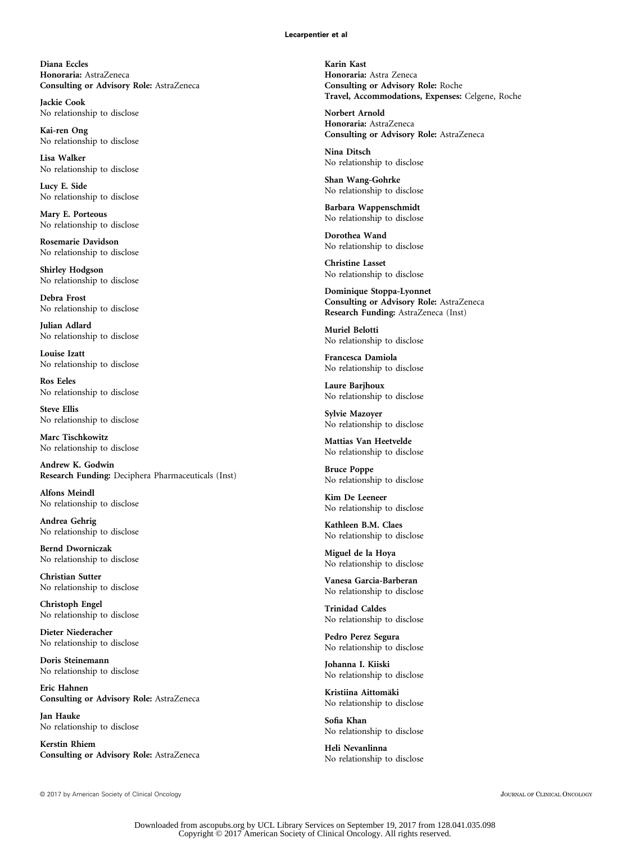Diana Eccles Honoraria: AstraZeneca Consulting or Advisory Role: AstraZeneca

Jackie Cook No relationship to disclose

Kai-ren Ong No relationship to disclose

Lisa Walker No relationship to disclose

Lucy E. Side No relationship to disclose

Mary E. Porteous No relationship to disclose

Rosemarie Davidson No relationship to disclose

Shirley Hodgson No relationship to disclose

Debra Frost No relationship to disclose

Julian Adlard No relationship to disclose

Louise Izatt No relationship to disclose

Ros Eeles No relationship to disclose

Steve Ellis No relationship to disclose

Marc Tischkowitz No relationship to disclose

Andrew K. Godwin Research Funding: Deciphera Pharmaceuticals (Inst)

Alfons Meindl No relationship to disclose

Andrea Gehrig No relationship to disclose

Bernd Dworniczak No relationship to disclose

Christian Sutter No relationship to disclose

Christoph Engel No relationship to disclose

Dieter Niederacher No relationship to disclose

Doris Steinemann No relationship to disclose

Eric Hahnen Consulting or Advisory Role: AstraZeneca

Jan Hauke No relationship to disclose

Kerstin Rhiem Consulting or Advisory Role: AstraZeneca

Karin Kast Honoraria: Astra Zeneca Consulting or Advisory Role: Roche Travel, Accommodations, Expenses: Celgene, Roche

Norbert Arnold Honoraria: AstraZeneca Consulting or Advisory Role: AstraZeneca

Nina Ditsch No relationship to disclose

Shan Wang-Gohrke No relationship to disclose

Barbara Wappenschmidt No relationship to disclose

Dorothea Wand No relationship to disclose

Christine Lasset No relationship to disclose

Dominique Stoppa-Lyonnet Consulting or Advisory Role: AstraZeneca Research Funding: AstraZeneca (Inst)

Muriel Belotti No relationship to disclose

Francesca Damiola No relationship to disclose

Laure Barjhoux No relationship to disclose

Sylvie Mazoyer No relationship to disclose

Mattias Van Heetvelde No relationship to disclose

Bruce Poppe No relationship to disclose

Kim De Leeneer No relationship to disclose

Kathleen B.M. Claes No relationship to disclose

Miguel de la Hoya No relationship to disclose

Vanesa Garcia-Barberan No relationship to disclose

Trinidad Caldes No relationship to disclose

Pedro Perez Segura No relationship to disclose

Johanna I. Kiiski No relationship to disclose

Kristiina Aittomäki No relationship to disclose

Sofia Khan No relationship to disclose

Heli Nevanlinna No relationship to disclose

© 2017 by American Society of Clinical Oncology JOURNAL OF CLINICAL ONCOLOGY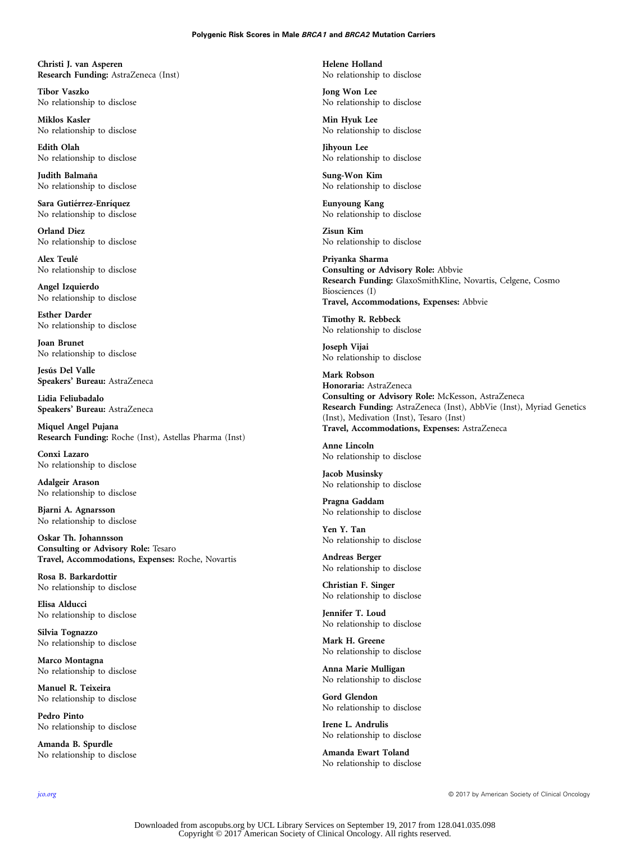### Polygenic Risk Scores in Male BRCA1 and BRCA2 Mutation Carriers

Christi J. van Asperen Research Funding: AstraZeneca (Inst)

Tibor Vaszko No relationship to disclose

Miklos Kasler No relationship to disclose

Edith Olah No relationship to disclose

Judith Balmaña No relationship to disclose

Sara Gutiérrez-Enríquez No relationship to disclose

Orland Diez No relationship to disclose

Alex Teulé No relationship to disclose

Angel Izquierdo No relationship to disclose

Esther Darder No relationship to disclose

Joan Brunet No relationship to disclose

Jesús Del Valle Speakers' Bureau: AstraZeneca

Lidia Feliubadalo Speakers' Bureau: AstraZeneca

Miquel Angel Pujana Research Funding: Roche (Inst), Astellas Pharma (Inst)

Conxi Lazaro No relationship to disclose

Adalgeir Arason No relationship to disclose

Bjarni A. Agnarsson No relationship to disclose

Oskar Th. Johannsson Consulting or Advisory Role: Tesaro Travel, Accommodations, Expenses: Roche, Novartis

Rosa B. Barkardottir No relationship to disclose

Elisa Alducci No relationship to disclose

Silvia Tognazzo No relationship to disclose

Marco Montagna No relationship to disclose

Manuel R. Teixeira No relationship to disclose

Pedro Pinto No relationship to disclose

Amanda B. Spurdle No relationship to disclose Helene Holland No relationship to disclose

Jong Won Lee No relationship to disclose

Min Hyuk Lee No relationship to disclose

Jihyoun Lee No relationship to disclose

Sung-Won Kim No relationship to disclose

Eunyoung Kang No relationship to disclose

Zisun Kim No relationship to disclose

Priyanka Sharma Consulting or Advisory Role: Abbvie Research Funding: GlaxoSmithKline, Novartis, Celgene, Cosmo Biosciences (I) Travel, Accommodations, Expenses: Abbvie

Timothy R. Rebbeck No relationship to disclose

Joseph Vijai No relationship to disclose

Mark Robson Honoraria: AstraZeneca Consulting or Advisory Role: McKesson, AstraZeneca Research Funding: AstraZeneca (Inst), AbbVie (Inst), Myriad Genetics (Inst), Medivation (Inst), Tesaro (Inst) Travel, Accommodations, Expenses: AstraZeneca

Anne Lincoln No relationship to disclose

Jacob Musinsky No relationship to disclose

Pragna Gaddam No relationship to disclose

Yen Y. Tan No relationship to disclose

Andreas Berger No relationship to disclose

Christian F. Singer No relationship to disclose

Jennifer T. Loud No relationship to disclose

Mark H. Greene No relationship to disclose

Anna Marie Mulligan No relationship to disclose

Gord Glendon No relationship to disclose

Irene L. Andrulis No relationship to disclose

Amanda Ewart Toland No relationship to disclose

[jco.org](http://jco.org) © 2017 by American Society of Clinical Oncology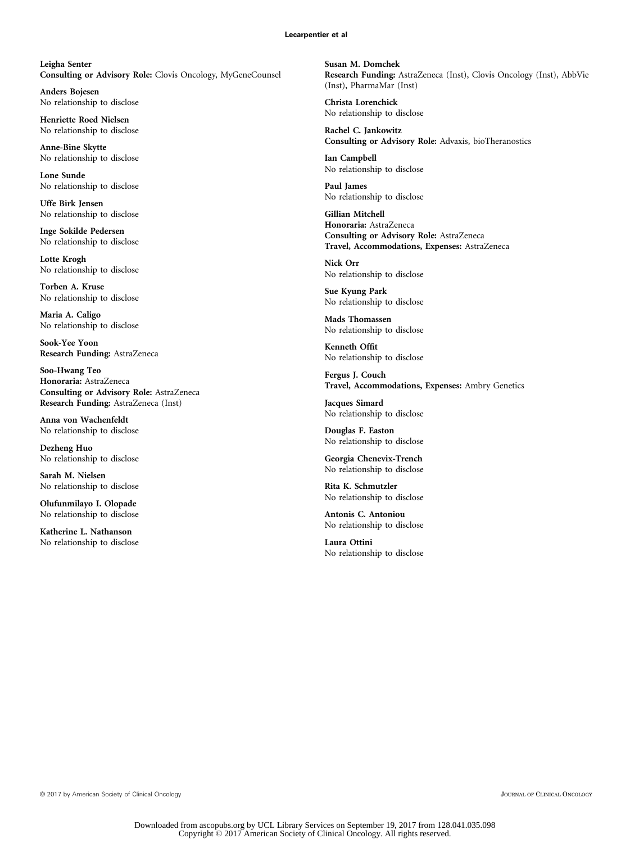Leigha Senter Consulting or Advisory Role: Clovis Oncology, MyGeneCounsel

Anders Bojesen No relationship to disclose

Henriette Roed Nielsen No relationship to disclose

Anne-Bine Skytte No relationship to disclose

Lone Sunde No relationship to disclose

Uffe Birk Jensen No relationship to disclose

Inge Sokilde Pedersen No relationship to disclose

Lotte Krogh No relationship to disclose

Torben A. Kruse No relationship to disclose

Maria A. Caligo No relationship to disclose

Sook-Yee Yoon Research Funding: AstraZeneca

Soo-Hwang Teo Honoraria: AstraZeneca Consulting or Advisory Role: AstraZeneca Research Funding: AstraZeneca (Inst)

Anna von Wachenfeldt No relationship to disclose

Dezheng Huo No relationship to disclose

Sarah M. Nielsen No relationship to disclose

Olufunmilayo I. Olopade No relationship to disclose

Katherine L. Nathanson No relationship to disclose Susan M. Domchek Research Funding: AstraZeneca (Inst), Clovis Oncology (Inst), AbbVie (Inst), PharmaMar (Inst)

Christa Lorenchick No relationship to disclose

Rachel C. Jankowitz Consulting or Advisory Role: Advaxis, bioTheranostics

Ian Campbell No relationship to disclose

Paul James No relationship to disclose

Gillian Mitchell Honoraria: AstraZeneca Consulting or Advisory Role: AstraZeneca Travel, Accommodations, Expenses: AstraZeneca

Nick Orr No relationship to disclose

Sue Kyung Park No relationship to disclose

Mads Thomassen No relationship to disclose

Kenneth Offit No relationship to disclose

Fergus J. Couch Travel, Accommodations, Expenses: Ambry Genetics

Jacques Simard No relationship to disclose

Douglas F. Easton No relationship to disclose

Georgia Chenevix-Trench No relationship to disclose

Rita K. Schmutzler No relationship to disclose

Antonis C. Antoniou No relationship to disclose

Laura Ottini No relationship to disclose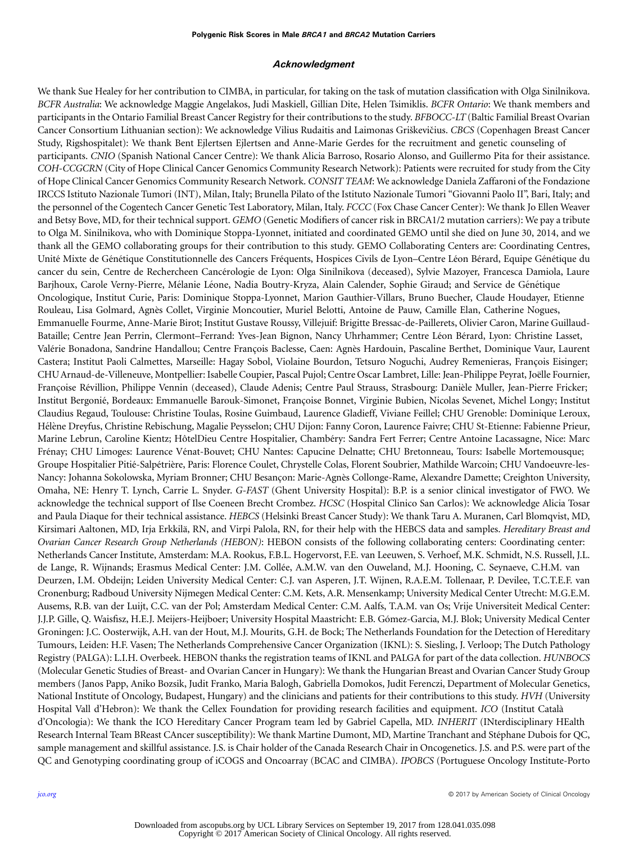### Acknowledgment

We thank Sue Healey for her contribution to CIMBA, in particular, for taking on the task of mutation classification with Olga Sinilnikova. BCFR Australia: We acknowledge Maggie Angelakos, Judi Maskiell, Gillian Dite, Helen Tsimiklis. BCFR Ontario: We thank members and participants in the Ontario Familial Breast Cancer Registry for their contributions to the study. BFBOCC-LT (Baltic Familial Breast Ovarian Cancer Consortium Lithuanian section): We acknowledge Vilius Rudaitis and Laimonas Griškevičius. CBCS (Copenhagen Breast Cancer Study, Rigshospitalet): We thank Bent Ejlertsen Ejlertsen and Anne-Marie Gerdes for the recruitment and genetic counseling of participants. CNIO (Spanish National Cancer Centre): We thank Alicia Barroso, Rosario Alonso, and Guillermo Pita for their assistance. COH-CCGCRN (City of Hope Clinical Cancer Genomics Community Research Network): Patients were recruited for study from the City of Hope Clinical Cancer Genomics Community Research Network. CONSIT TEAM: We acknowledge Daniela Zaffaroni of the Fondazione IRCCS Istituto Nazionale Tumori (INT), Milan, Italy; Brunella Pilato of the Istituto Nazionale Tumori "Giovanni Paolo II", Bari, Italy; and the personnel of the Cogentech Cancer Genetic Test Laboratory, Milan, Italy. FCCC (Fox Chase Cancer Center): We thank Jo Ellen Weaver and Betsy Bove, MD, for their technical support. GEMO (Genetic Modifiers of cancer risk in BRCA1/2 mutation carriers): We pay a tribute to Olga M. Sinilnikova, who with Dominique Stoppa-Lyonnet, initiated and coordinated GEMO until she died on June 30, 2014, and we thank all the GEMO collaborating groups for their contribution to this study. GEMO Collaborating Centers are: Coordinating Centres, Unité Mixte de Génétique Constitutionnelle des Cancers Fréquents, Hospices Civils de Lyon–Centre Léon Bérard, Equipe Génétique du cancer du sein, Centre de Rechercheen Cancerologie de Lyon: Olga Sinilnikova (deceased), Sylvie Mazoyer, Francesca Damiola, Laure ´ Barjhoux, Carole Verny-Pierre, Mélanie Léone, Nadia Boutry-Kryza, Alain Calender, Sophie Giraud; and Service de Génétique Oncologique, Institut Curie, Paris: Dominique Stoppa-Lyonnet, Marion Gauthier-Villars, Bruno Buecher, Claude Houdayer, Etienne Rouleau, Lisa Golmard, Agnes Collet, Virginie Moncoutier, Muriel Belotti, Antoine de Pauw, Camille Elan, Catherine Nogues, ` Emmanuelle Fourme, Anne-Marie Birot; Institut Gustave Roussy, Villejuif: Brigitte Bressac-de-Paillerets, Olivier Caron, Marine Guillaud-Bataille; Centre Jean Perrin, Clermont–Ferrand: Yves-Jean Bignon, Nancy Uhrhammer; Centre Léon Bérard, Lyon: Christine Lasset, Valérie Bonadona, Sandrine Handallou; Centre François Baclesse, Caen: Agnès Hardouin, Pascaline Berthet, Dominique Vaur, Laurent Castera; Institut Paoli Calmettes, Marseille: Hagay Sobol, Violaine Bourdon, Tetsuro Noguchi, Audrey Remenieras, François Eisinger; CHUArnaud-de-Villeneuve, Montpellier: Isabelle Coupier, Pascal Pujol; Centre Oscar Lambret, Lille: Jean-Philippe Peyrat, Joelle Fournier, ¨ Françoise Révillion, Philippe Vennin (deceased), Claude Adenis; Centre Paul Strauss, Strasbourg: Danièle Muller, Jean-Pierre Fricker; Institut Bergonie, Bordeaux: Emmanuelle Barouk-Simonet, Françoise Bonnet, Virginie Bubien, Nicolas Sevenet, Michel Longy; Institut ´ Claudius Regaud, Toulouse: Christine Toulas, Rosine Guimbaud, Laurence Gladieff, Viviane Feillel; CHU Grenoble: Dominique Leroux, Hélène Dreyfus, Christine Rebischung, Magalie Peysselon; CHU Dijon: Fanny Coron, Laurence Faivre; CHU St-Etienne: Fabienne Prieur, Marine Lebrun, Caroline Kientz; HôtelDieu Centre Hospitalier, Chambéry: Sandra Fert Ferrer; Centre Antoine Lacassagne, Nice: Marc Frénay; CHU Limoges: Laurence Vénat-Bouvet; CHU Nantes: Capucine Delnatte; CHU Bretonneau, Tours: Isabelle Mortemousque; Groupe Hospitalier Pitié-Salpétrière, Paris: Florence Coulet, Chrystelle Colas, Florent Soubrier, Mathilde Warcoin; CHU Vandoeuvre-les-Nancy: Johanna Sokolowska, Myriam Bronner; CHU Besançon: Marie-Agnès Collonge-Rame, Alexandre Damette; Creighton University, Omaha, NE: Henry T. Lynch, Carrie L. Snyder. G-FAST (Ghent University Hospital): B.P. is a senior clinical investigator of FWO. We acknowledge the technical support of Ilse Coeneen Brecht Crombez. HCSC (Hospital Clinico San Carlos): We acknowledge Alicia Tosar and Paula Diaque for their technical assistance. HEBCS (Helsinki Breast Cancer Study): We thank Taru A. Muranen, Carl Blomqvist, MD, Kirsimari Aaltonen, MD, Irja Erkkilä, RN, and Virpi Palola, RN, for their help with the HEBCS data and samples. Hereditary Breast and Ovarian Cancer Research Group Netherlands (HEBON): HEBON consists of the following collaborating centers: Coordinating center: Netherlands Cancer Institute, Amsterdam: M.A. Rookus, F.B.L. Hogervorst, F.E. van Leeuwen, S. Verhoef, M.K. Schmidt, N.S. Russell, J.L. de Lange, R. Wijnands; Erasmus Medical Center: J.M. Collée, A.M.W. van den Ouweland, M.J. Hooning, C. Seynaeve, C.H.M. van Deurzen, I.M. Obdeijn; Leiden University Medical Center: C.J. van Asperen, J.T. Wijnen, R.A.E.M. Tollenaar, P. Devilee, T.C.T.E.F. van Cronenburg; Radboud University Nijmegen Medical Center: C.M. Kets, A.R. Mensenkamp; University Medical Center Utrecht: M.G.E.M. Ausems, R.B. van der Luijt, C.C. van der Pol; Amsterdam Medical Center: C.M. Aalfs, T.A.M. van Os; Vrije Universiteit Medical Center: J.J.P. Gille, Q. Waisfisz, H.E.J. Meijers-Heijboer; University Hospital Maastricht: E.B. Gomez-Garcia, M.J. Blok; University Medical Center ´ Groningen: J.C. Oosterwijk, A.H. van der Hout, M.J. Mourits, G.H. de Bock; The Netherlands Foundation for the Detection of Hereditary Tumours, Leiden: H.F. Vasen; The Netherlands Comprehensive Cancer Organization (IKNL): S. Siesling, J. Verloop; The Dutch Pathology Registry (PALGA): L.I.H. Overbeek. HEBON thanks the registration teams of IKNL and PALGA for part of the data collection. HUNBOCS (Molecular Genetic Studies of Breast- and Ovarian Cancer in Hungary): We thank the Hungarian Breast and Ovarian Cancer Study Group members (Janos Papp, Aniko Bozsik, Judit Franko, Maria Balogh, Gabriella Domokos, Judit Ferenczi, Department of Molecular Genetics, National Institute of Oncology, Budapest, Hungary) and the clinicians and patients for their contributions to this study. HVH (University Hospital Vall d'Hebron): We thank the Cellex Foundation for providing research facilities and equipment. ICO (Institut Catala` d'Oncologia): We thank the ICO Hereditary Cancer Program team led by Gabriel Capella, MD. INHERIT (INterdisciplinary HEalth Research Internal Team BReast CAncer susceptibility): We thank Martine Dumont, MD, Martine Tranchant and Stephane Dubois for QC, ´ sample management and skillful assistance. J.S. is Chair holder of the Canada Research Chair in Oncogenetics. J.S. and P.S. were part of the QC and Genotyping coordinating group of iCOGS and Oncoarray (BCAC and CIMBA). IPOBCS (Portuguese Oncology Institute-Porto